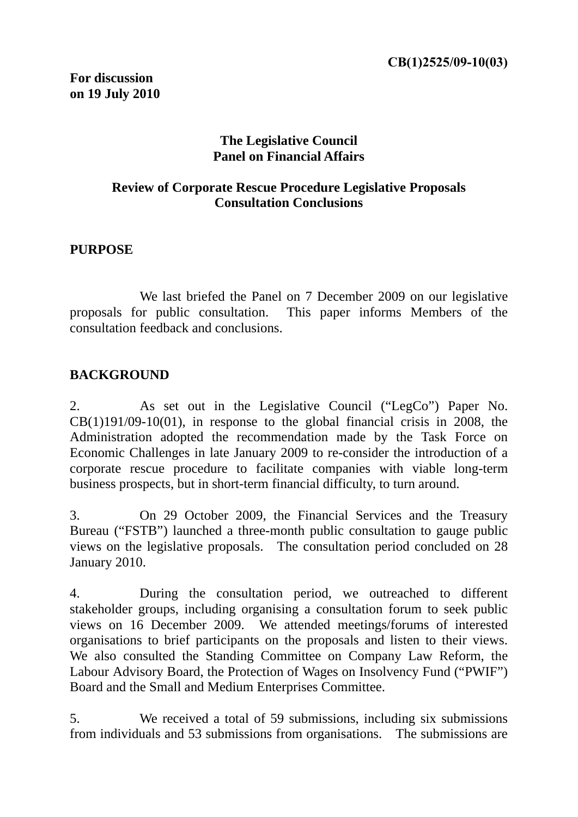#### **The Legislative Council Panel on Financial Affairs**

### **Review of Corporate Rescue Procedure Legislative Proposals Consultation Conclusions**

#### **PURPOSE**

We last briefed the Panel on 7 December 2009 on our legislative proposals for public consultation. This paper informs Members of the consultation feedback and conclusions.

#### **BACKGROUND**

2. As set out in the Legislative Council ("LegCo") Paper No.  $CB(1)191/09-10(01)$ , in response to the global financial crisis in 2008, the Administration adopted the recommendation made by the Task Force on Economic Challenges in late January 2009 to re-consider the introduction of a corporate rescue procedure to facilitate companies with viable long-term business prospects, but in short-term financial difficulty, to turn around.

3. On 29 October 2009, the Financial Services and the Treasury Bureau ("FSTB") launched a three-month public consultation to gauge public views on the legislative proposals. The consultation period concluded on 28 January 2010.

4. During the consultation period, we outreached to different stakeholder groups, including organising a consultation forum to seek public views on 16 December 2009. We attended meetings/forums of interested organisations to brief participants on the proposals and listen to their views. We also consulted the Standing Committee on Company Law Reform, the Labour Advisory Board, the Protection of Wages on Insolvency Fund ("PWIF") Board and the Small and Medium Enterprises Committee.

5. We received a total of 59 submissions, including six submissions from individuals and 53 submissions from organisations. The submissions are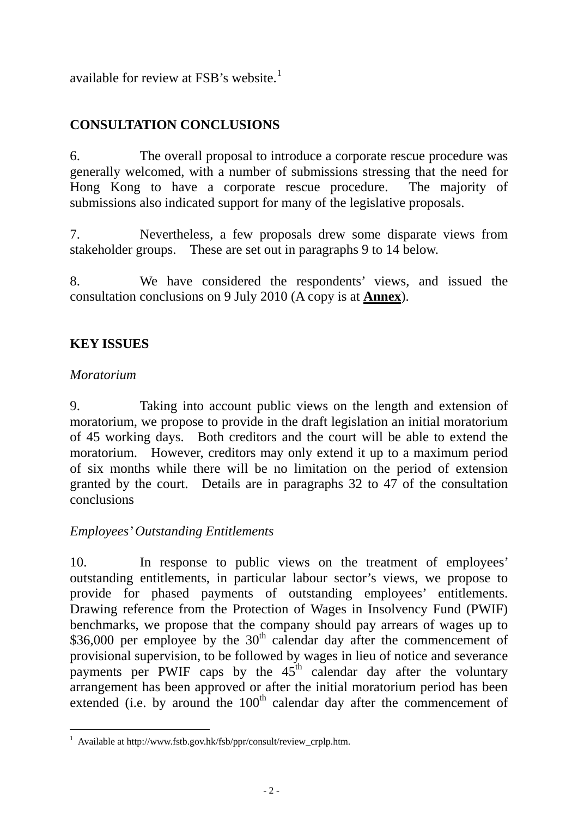available for review at FSB's website.<sup>1</sup>

# **CONSULTATION CONCLUSIONS**

6. The overall proposal to introduce a corporate rescue procedure was generally welcomed, with a number of submissions stressing that the need for Hong Kong to have a corporate rescue procedure. The majority of submissions also indicated support for many of the legislative proposals.

7. Nevertheless, a few proposals drew some disparate views from stakeholder groups. These are set out in paragraphs 9 to 14 below.

8. We have considered the respondents' views, and issued the consultation conclusions on 9 July 2010 (A copy is at **Annex**).

# **KEY ISSUES**

#### *Moratorium*

9. Taking into account public views on the length and extension of moratorium, we propose to provide in the draft legislation an initial moratorium of 45 working days. Both creditors and the court will be able to extend the moratorium. However, creditors may only extend it up to a maximum period of six months while there will be no limitation on the period of extension granted by the court. Details are in paragraphs 32 to 47 of the consultation conclusions

#### *Employees' Outstanding Entitlements*

10. In response to public views on the treatment of employees' outstanding entitlements, in particular labour sector's views, we propose to provide for phased payments of outstanding employees' entitlements. Drawing reference from the Protection of Wages in Insolvency Fund (PWIF) benchmarks, we propose that the company should pay arrears of wages up to \$36,000 per employee by the  $30<sup>th</sup>$  calendar day after the commencement of provisional supervision, to be followed by wages in lieu of notice and severance payments per PWIF caps by the  $45<sup>th</sup>$  calendar day after the voluntary arrangement has been approved or after the initial moratorium period has been extended (i.e. by around the  $100<sup>th</sup>$  calendar day after the commencement of

 1 Available at http://www.fstb.gov.hk/fsb/ppr/consult/review\_crplp.htm.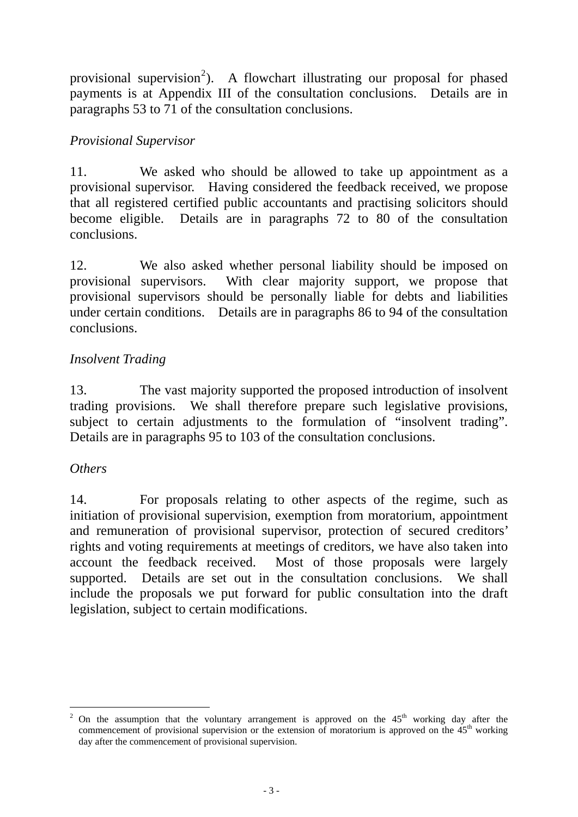provisional supervision<sup>2</sup>). A flowchart illustrating our proposal for phased payments is at Appendix III of the consultation conclusions. Details are in paragraphs 53 to 71 of the consultation conclusions.

# *Provisional Supervisor*

11. We asked who should be allowed to take up appointment as a provisional supervisor. Having considered the feedback received, we propose that all registered certified public accountants and practising solicitors should become eligible. Details are in paragraphs 72 to 80 of the consultation conclusions.

12. We also asked whether personal liability should be imposed on provisional supervisors. With clear majority support, we propose that provisional supervisors should be personally liable for debts and liabilities under certain conditions. Details are in paragraphs 86 to 94 of the consultation conclusions.

# *Insolvent Trading*

13. The vast majority supported the proposed introduction of insolvent trading provisions. We shall therefore prepare such legislative provisions, subject to certain adjustments to the formulation of "insolvent trading". Details are in paragraphs 95 to 103 of the consultation conclusions.

# *Others*

14. For proposals relating to other aspects of the regime, such as initiation of provisional supervision, exemption from moratorium, appointment and remuneration of provisional supervisor, protection of secured creditors' rights and voting requirements at meetings of creditors, we have also taken into account the feedback received. Most of those proposals were largely supported. Details are set out in the consultation conclusions. We shall include the proposals we put forward for public consultation into the draft legislation, subject to certain modifications.

<sup>-</sup>2 On the assumption that the voluntary arrangement is approved on the  $45<sup>th</sup>$  working day after the commencement of provisional supervision or the extension of moratorium is approved on the  $45<sup>th</sup>$  working day after the commencement of provisional supervision.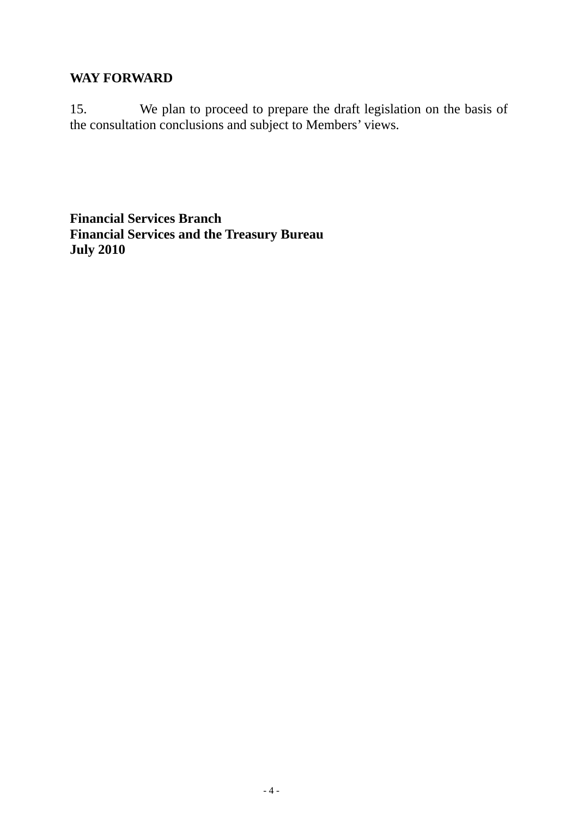### **WAY FORWARD**

15. We plan to proceed to prepare the draft legislation on the basis of the consultation conclusions and subject to Members' views.

**Financial Services Branch Financial Services and the Treasury Bureau July 2010**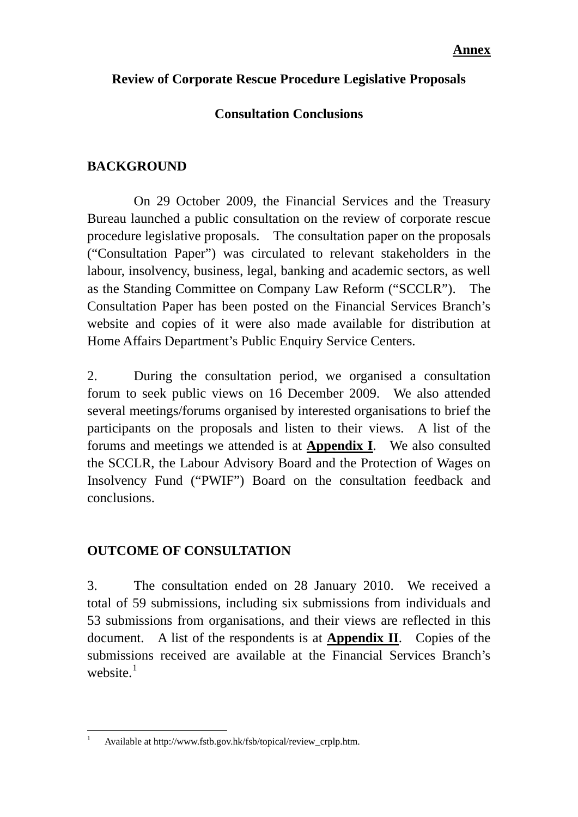### **Review of Corporate Rescue Procedure Legislative Proposals**

# **Consultation Conclusions**

# **BACKGROUND**

 On 29 October 2009, the Financial Services and the Treasury Bureau launched a public consultation on the review of corporate rescue procedure legislative proposals. The consultation paper on the proposals ("Consultation Paper") was circulated to relevant stakeholders in the labour, insolvency, business, legal, banking and academic sectors, as well as the Standing Committee on Company Law Reform ("SCCLR"). The Consultation Paper has been posted on the Financial Services Branch's website and copies of it were also made available for distribution at Home Affairs Department's Public Enquiry Service Centers.

2. During the consultation period, we organised a consultation forum to seek public views on 16 December 2009. We also attended several meetings/forums organised by interested organisations to brief the participants on the proposals and listen to their views. A list of the forums and meetings we attended is at **Appendix I**. We also consulted the SCCLR, the Labour Advisory Board and the Protection of Wages on Insolvency Fund ("PWIF") Board on the consultation feedback and conclusions.

# **OUTCOME OF CONSULTATION**

3. The consultation ended on 28 January 2010. We received a total of 59 submissions, including six submissions from individuals and 53 submissions from organisations, and their views are reflected in this document. A list of the respondents is at **Appendix II**. Copies of the submissions received are available at the Financial Services Branch's website. $<sup>1</sup>$  $<sup>1</sup>$  $<sup>1</sup>$ </sup>

<span id="page-4-0"></span> $\frac{1}{1}$ Available at http://www.fstb.gov.hk/fsb/topical/review\_crplp.htm.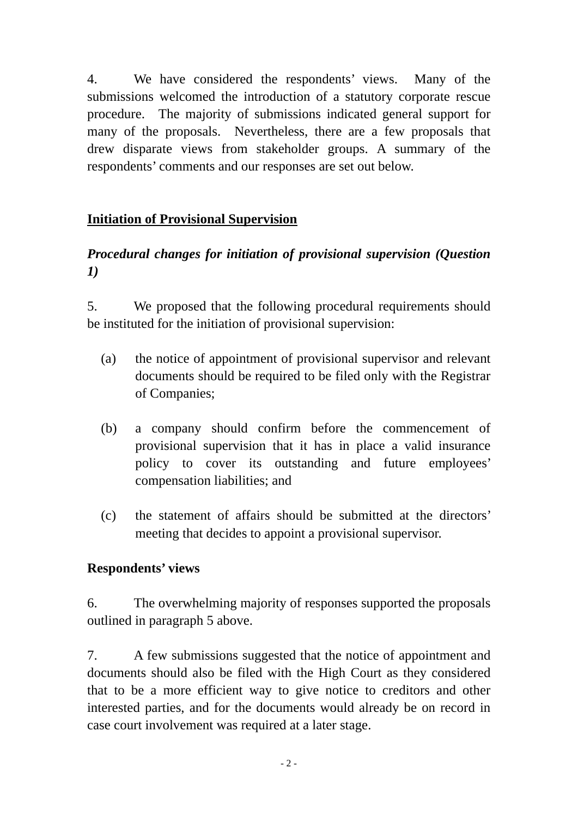4. We have considered the respondents' views. Many of the submissions welcomed the introduction of a statutory corporate rescue procedure. The majority of submissions indicated general support for many of the proposals. Nevertheless, there are a few proposals that drew disparate views from stakeholder groups. A summary of the respondents' comments and our responses are set out below.

# **Initiation of Provisional Supervision**

# *Procedural changes for initiation of provisional supervision (Question 1)*

5. We proposed that the following procedural requirements should be instituted for the initiation of provisional supervision:

- (a) the notice of appointment of provisional supervisor and relevant documents should be required to be filed only with the Registrar of Companies;
- (b) a company should confirm before the commencement of provisional supervision that it has in place a valid insurance policy to cover its outstanding and future employees' compensation liabilities; and
- (c) the statement of affairs should be submitted at the directors' meeting that decides to appoint a provisional supervisor.

#### **Respondents' views**

6. The overwhelming majority of responses supported the proposals outlined in paragraph 5 above.

7. A few submissions suggested that the notice of appointment and documents should also be filed with the High Court as they considered that to be a more efficient way to give notice to creditors and other interested parties, and for the documents would already be on record in case court involvement was required at a later stage.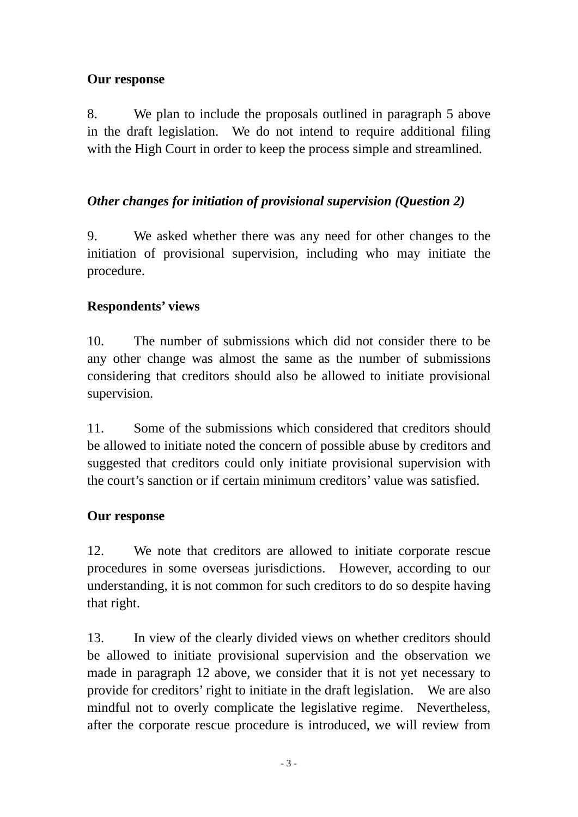# **Our response**

8. We plan to include the proposals outlined in paragraph 5 above in the draft legislation. We do not intend to require additional filing with the High Court in order to keep the process simple and streamlined.

# *Other changes for initiation of provisional supervision (Question 2)*

9. We asked whether there was any need for other changes to the initiation of provisional supervision, including who may initiate the procedure.

# **Respondents' views**

10. The number of submissions which did not consider there to be any other change was almost the same as the number of submissions considering that creditors should also be allowed to initiate provisional supervision.

11. Some of the submissions which considered that creditors should be allowed to initiate noted the concern of possible abuse by creditors and suggested that creditors could only initiate provisional supervision with the court's sanction or if certain minimum creditors' value was satisfied.

# **Our response**

12. We note that creditors are allowed to initiate corporate rescue procedures in some overseas jurisdictions. However, according to our understanding, it is not common for such creditors to do so despite having that right.

13. In view of the clearly divided views on whether creditors should be allowed to initiate provisional supervision and the observation we made in paragraph 12 above, we consider that it is not yet necessary to provide for creditors' right to initiate in the draft legislation. We are also mindful not to overly complicate the legislative regime. Nevertheless, after the corporate rescue procedure is introduced, we will review from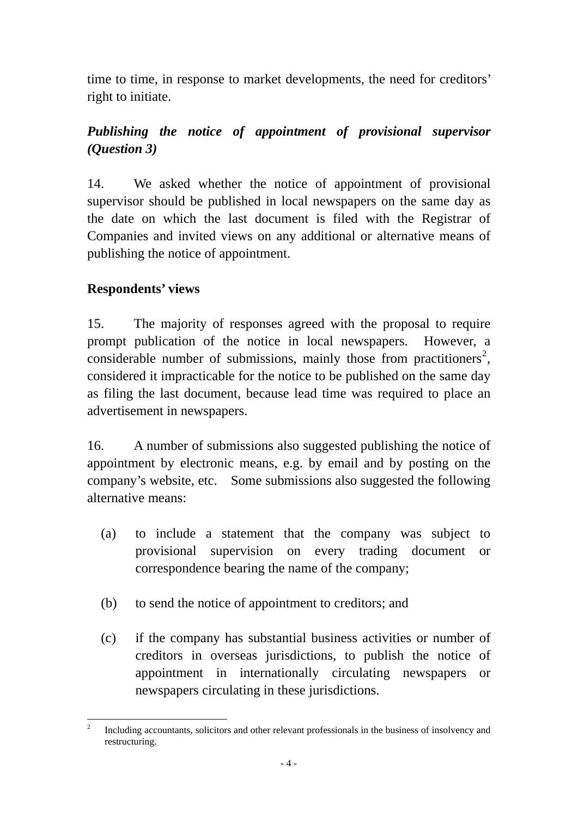<span id="page-7-0"></span>time to time, in response to market developments, the need for creditors' right to initiate.

# *Publishing the notice of appointment of provisional supervisor (Question 3)*

14. We asked whether the notice of appointment of provisional supervisor should be published in local newspapers on the same day as the date on which the last document is filed with the Registrar of Companies and invited views on any additional or alternative means of publishing the notice of appointment.

# **Respondents' views**

15. The majority of responses agreed with the proposal to require prompt publication of the notice in local newspapers. However, a considerable number of submissions, mainly those from practitioners<sup>[2](#page-7-0)</sup>, considered it impracticable for the notice to be published on the same day as filing the last document, because lead time was required to place an advertisement in newspapers.

16. A number of submissions also suggested publishing the notice of appointment by electronic means, e.g. by email and by posting on the company's website, etc. Some submissions also suggested the following alternative means:

- (a) to include a statement that the company was subject to provisional supervision on every trading document or correspondence bearing the name of the company;
- (b) to send the notice of appointment to creditors; and
- (c) if the company has substantial business activities or number of creditors in overseas jurisdictions, to publish the notice of appointment in internationally circulating newspapers or newspapers circulating in these jurisdictions.

 $\frac{1}{2}$  Including accountants, solicitors and other relevant professionals in the business of insolvency and restructuring.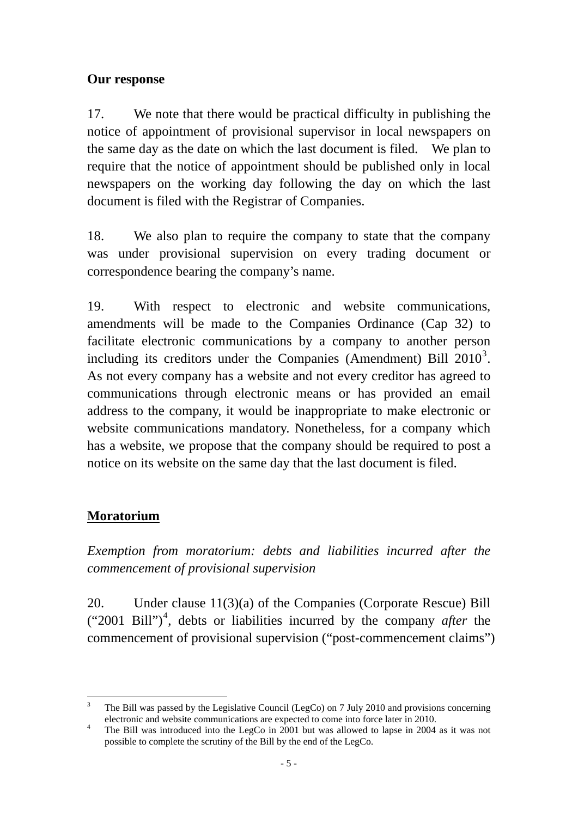### <span id="page-8-0"></span>**Our response**

17. We note that there would be practical difficulty in publishing the notice of appointment of provisional supervisor in local newspapers on the same day as the date on which the last document is filed. We plan to require that the notice of appointment should be published only in local newspapers on the working day following the day on which the last document is filed with the Registrar of Companies.

18. We also plan to require the company to state that the company was under provisional supervision on every trading document or correspondence bearing the company's name.

19. With respect to electronic and website communications, amendments will be made to the Companies Ordinance (Cap 32) to facilitate electronic communications by a company to another person including its creditors under the Companies (Amendment) Bill  $2010^3$  $2010^3$ . As not every company has a website and not every creditor has agreed to communications through electronic means or has provided an email address to the company, it would be inappropriate to make electronic or website communications mandatory. Nonetheless, for a company which has a website, we propose that the company should be required to post a notice on its website on the same day that the last document is filed.

# **Moratorium**

*Exemption from moratorium: debts and liabilities incurred after the commencement of provisional supervision* 

20. Under clause 11(3)(a) of the Companies (Corporate Rescue) Bill ("2001 Bill")[4](#page-8-0) , debts or liabilities incurred by the company *after* the commencement of provisional supervision ("post-commencement claims")

 $\overline{a}$ 3 The Bill was passed by the Legislative Council (LegCo) on 7 July 2010 and provisions concerning electronic and website communications are expected to come into force later in 2010.

The Bill was introduced into the LegCo in 2001 but was allowed to lapse in 2004 as it was not possible to complete the scrutiny of the Bill by the end of the LegCo.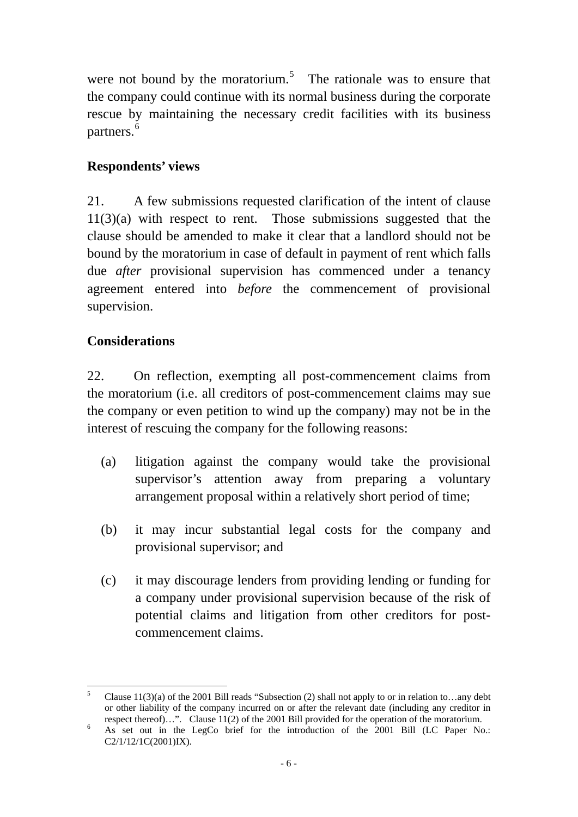were not bound by the moratorium.<sup>5</sup> The rationale was to ensure that the company could continue with its normal business during the corporate rescue by maintaining the necessary credit facilities with its business partners.<sup>6</sup>

# **Respondents' views**

21. A few submissions requested clarification of the intent of clause 11(3)(a) with respect to rent. Those submissions suggested that the clause should be amended to make it clear that a landlord should not be bound by the moratorium in case of default in payment of rent which falls due *after* provisional supervision has commenced under a tenancy agreement entered into *before* the commencement of provisional supervision.

### **Considerations**

22. On reflection, exempting all post-commencement claims from the moratorium (i.e. all creditors of post-commencement claims may sue the company or even petition to wind up the company) may not be in the interest of rescuing the company for the following reasons:

- (a) litigation against the company would take the provisional supervisor's attention away from preparing a voluntary arrangement proposal within a relatively short period of time;
- (b) it may incur substantial legal costs for the company and provisional supervisor; and
- (c) it may discourage lenders from providing lending or funding for a company under provisional supervision because of the risk of potential claims and litigation from other creditors for postcommencement claims.

 $5^{\circ}$ Clause  $11(3)(a)$  of the 2001 Bill reads "Subsection (2) shall not apply to or in relation to...any debt or other liability of the company incurred on or after the relevant date (including any creditor in respect thereof)…". Clause 11(2) of the 2001 Bill provided for the operation of the moratorium.

As set out in the LegCo brief for the introduction of the 2001 Bill (LC Paper No.: C2/1/12/1C(2001)IX).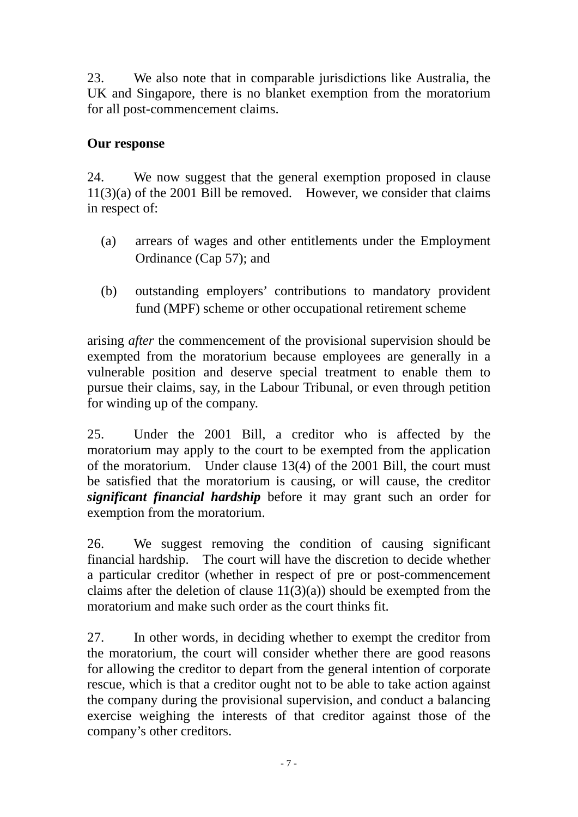23. We also note that in comparable jurisdictions like Australia, the UK and Singapore, there is no blanket exemption from the moratorium for all post-commencement claims.

# **Our response**

24. We now suggest that the general exemption proposed in clause 11(3)(a) of the 2001 Bill be removed. However, we consider that claims in respect of:

- (a) arrears of wages and other entitlements under the Employment Ordinance (Cap 57); and
- (b) outstanding employers' contributions to mandatory provident fund (MPF) scheme or other occupational retirement scheme

arising *after* the commencement of the provisional supervision should be exempted from the moratorium because employees are generally in a vulnerable position and deserve special treatment to enable them to pursue their claims, say, in the Labour Tribunal, or even through petition for winding up of the company.

25. Under the 2001 Bill, a creditor who is affected by the moratorium may apply to the court to be exempted from the application of the moratorium. Under clause 13(4) of the 2001 Bill, the court must be satisfied that the moratorium is causing, or will cause, the creditor *significant financial hardship* before it may grant such an order for exemption from the moratorium.

26. We suggest removing the condition of causing significant financial hardship. The court will have the discretion to decide whether a particular creditor (whether in respect of pre or post-commencement claims after the deletion of clause  $11(3)(a)$  should be exempted from the moratorium and make such order as the court thinks fit.

27. In other words, in deciding whether to exempt the creditor from the moratorium, the court will consider whether there are good reasons for allowing the creditor to depart from the general intention of corporate rescue, which is that a creditor ought not to be able to take action against the company during the provisional supervision, and conduct a balancing exercise weighing the interests of that creditor against those of the company's other creditors.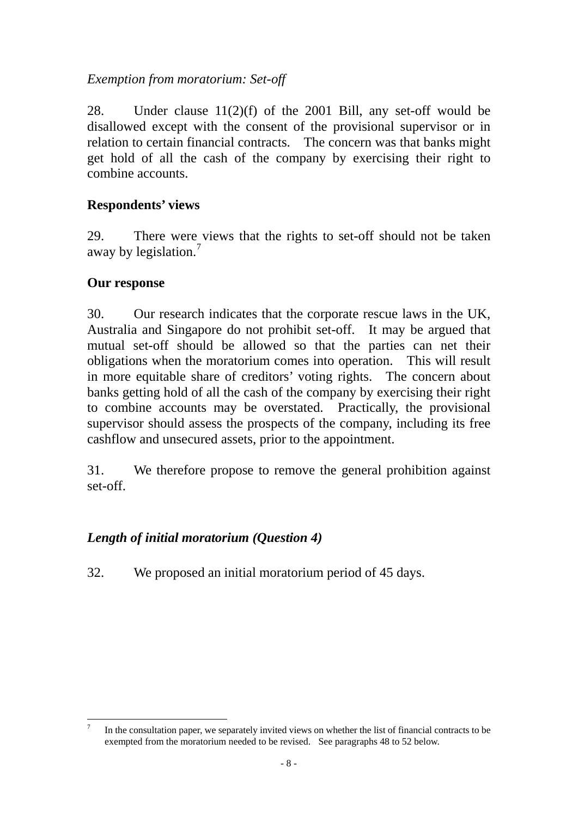### <span id="page-11-0"></span>*Exemption from moratorium: Set-off*

28. Under clause 11(2)(f) of the 2001 Bill, any set-off would be disallowed except with the consent of the provisional supervisor or in relation to certain financial contracts. The concern was that banks might get hold of all the cash of the company by exercising their right to combine accounts.

# **Respondents' views**

29. There were views that the rights to set-off should not be taken away by legislation.<sup>[7](#page-11-0)</sup>

# **Our response**

30. Our research indicates that the corporate rescue laws in the UK, Australia and Singapore do not prohibit set-off. It may be argued that mutual set-off should be allowed so that the parties can net their obligations when the moratorium comes into operation. This will result in more equitable share of creditors' voting rights. The concern about banks getting hold of all the cash of the company by exercising their right to combine accounts may be overstated. Practically, the provisional supervisor should assess the prospects of the company, including its free cashflow and unsecured assets, prior to the appointment.

31. We therefore propose to remove the general prohibition against set-off.

# *Length of initial moratorium (Question 4)*

32. We proposed an initial moratorium period of 45 days.

<sup>&</sup>lt;sup>-</sup> In the consultation paper, we separately invited views on whether the list of financial contracts to be exempted from the moratorium needed to be revised. See paragraphs 48 to 52 below.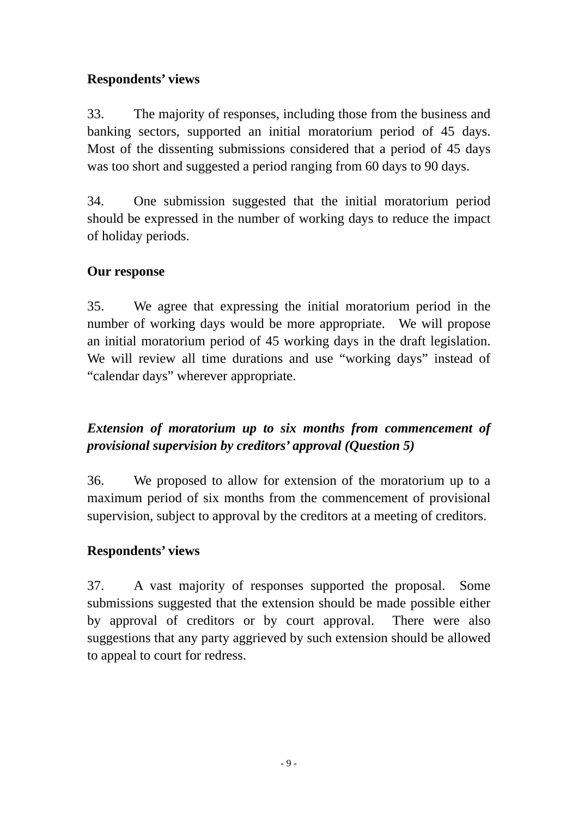# **Respondents' views**

33. The majority of responses, including those from the business and banking sectors, supported an initial moratorium period of 45 days. Most of the dissenting submissions considered that a period of 45 days was too short and suggested a period ranging from 60 days to 90 days.

34. One submission suggested that the initial moratorium period should be expressed in the number of working days to reduce the impact of holiday periods.

# **Our response**

35. We agree that expressing the initial moratorium period in the number of working days would be more appropriate. We will propose an initial moratorium period of 45 working days in the draft legislation. We will review all time durations and use "working days" instead of "calendar days" wherever appropriate.

# *Extension of moratorium up to six months from commencement of provisional supervision by creditors' approval (Question 5)*

36. We proposed to allow for extension of the moratorium up to a maximum period of six months from the commencement of provisional supervision, subject to approval by the creditors at a meeting of creditors.

# **Respondents' views**

37. A vast majority of responses supported the proposal. Some submissions suggested that the extension should be made possible either by approval of creditors or by court approval. There were also suggestions that any party aggrieved by such extension should be allowed to appeal to court for redress.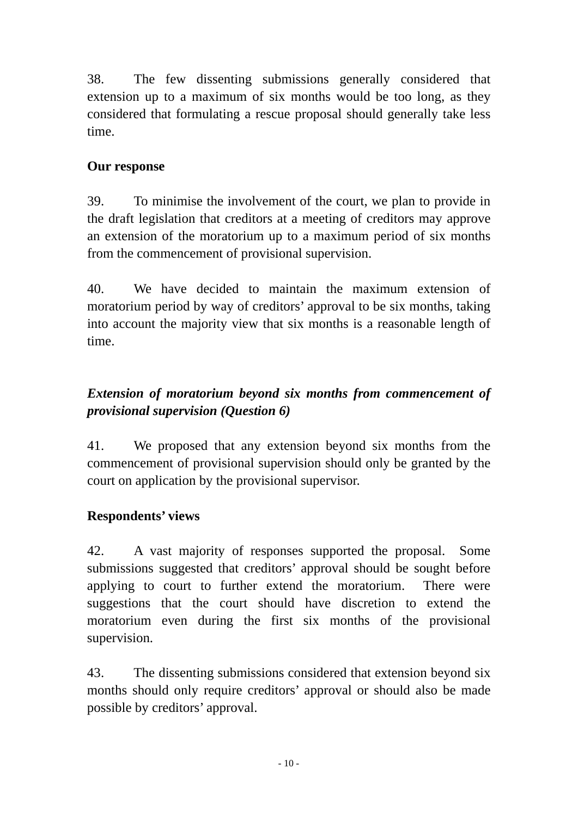38. The few dissenting submissions generally considered that extension up to a maximum of six months would be too long, as they considered that formulating a rescue proposal should generally take less time.

# **Our response**

39. To minimise the involvement of the court, we plan to provide in the draft legislation that creditors at a meeting of creditors may approve an extension of the moratorium up to a maximum period of six months from the commencement of provisional supervision.

40. We have decided to maintain the maximum extension of moratorium period by way of creditors' approval to be six months, taking into account the majority view that six months is a reasonable length of time.

# *Extension of moratorium beyond six months from commencement of provisional supervision (Question 6)*

41. We proposed that any extension beyond six months from the commencement of provisional supervision should only be granted by the court on application by the provisional supervisor.

# **Respondents' views**

42. A vast majority of responses supported the proposal. Some submissions suggested that creditors' approval should be sought before applying to court to further extend the moratorium. There were suggestions that the court should have discretion to extend the moratorium even during the first six months of the provisional supervision.

43. The dissenting submissions considered that extension beyond six months should only require creditors' approval or should also be made possible by creditors' approval.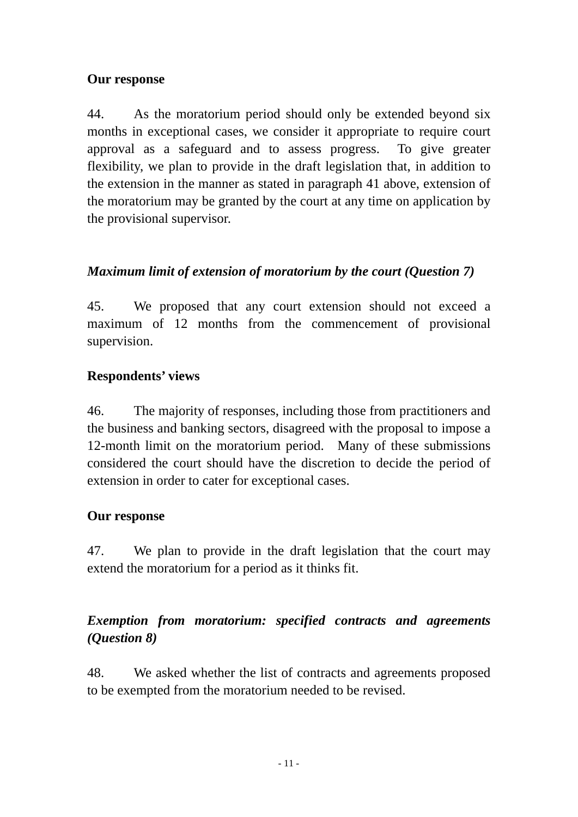# **Our response**

44. As the moratorium period should only be extended beyond six months in exceptional cases, we consider it appropriate to require court approval as a safeguard and to assess progress. To give greater flexibility, we plan to provide in the draft legislation that, in addition to the extension in the manner as stated in paragraph 41 above, extension of the moratorium may be granted by the court at any time on application by the provisional supervisor.

# *Maximum limit of extension of moratorium by the court (Question 7)*

45. We proposed that any court extension should not exceed a maximum of 12 months from the commencement of provisional supervision.

# **Respondents' views**

46. The majority of responses, including those from practitioners and the business and banking sectors, disagreed with the proposal to impose a 12-month limit on the moratorium period. Many of these submissions considered the court should have the discretion to decide the period of extension in order to cater for exceptional cases.

#### **Our response**

47. We plan to provide in the draft legislation that the court may extend the moratorium for a period as it thinks fit.

# *Exemption from moratorium: specified contracts and agreements (Question 8)*

48. We asked whether the list of contracts and agreements proposed to be exempted from the moratorium needed to be revised.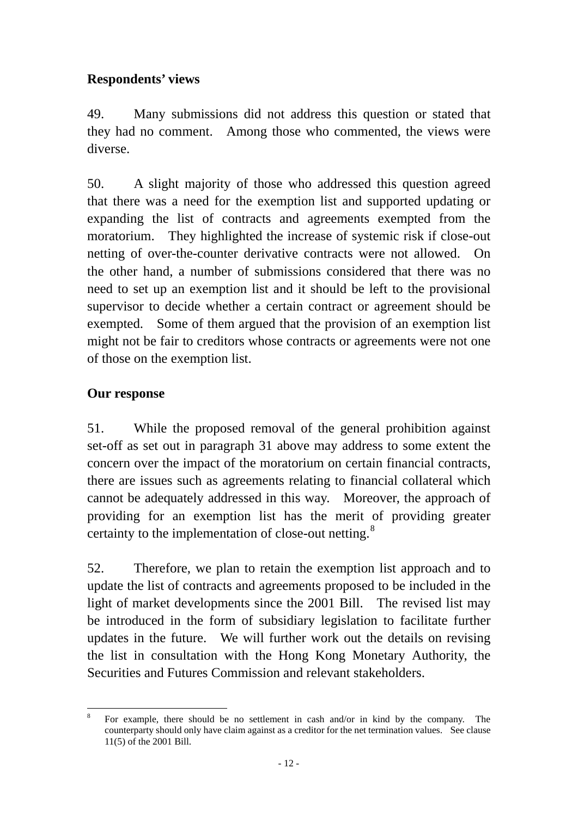# <span id="page-15-0"></span>**Respondents' views**

49. Many submissions did not address this question or stated that they had no comment. Among those who commented, the views were diverse.

50. A slight majority of those who addressed this question agreed that there was a need for the exemption list and supported updating or expanding the list of contracts and agreements exempted from the moratorium. They highlighted the increase of systemic risk if close-out netting of over-the-counter derivative contracts were not allowed. On the other hand, a number of submissions considered that there was no need to set up an exemption list and it should be left to the provisional supervisor to decide whether a certain contract or agreement should be exempted. Some of them argued that the provision of an exemption list might not be fair to creditors whose contracts or agreements were not one of those on the exemption list.

# **Our response**

51. While the proposed removal of the general prohibition against set-off as set out in paragraph 31 above may address to some extent the concern over the impact of the moratorium on certain financial contracts, there are issues such as agreements relating to financial collateral which cannot be adequately addressed in this way. Moreover, the approach of providing for an exemption list has the merit of providing greater certainty to the implementation of close-out netting. $8$ 

52. Therefore, we plan to retain the exemption list approach and to update the list of contracts and agreements proposed to be included in the light of market developments since the 2001 Bill. The revised list may be introduced in the form of subsidiary legislation to facilitate further updates in the future. We will further work out the details on revising the list in consultation with the Hong Kong Monetary Authority, the Securities and Futures Commission and relevant stakeholders.

 8 For example, there should be no settlement in cash and/or in kind by the company. The counterparty should only have claim against as a creditor for the net termination values. See clause 11(5) of the 2001 Bill.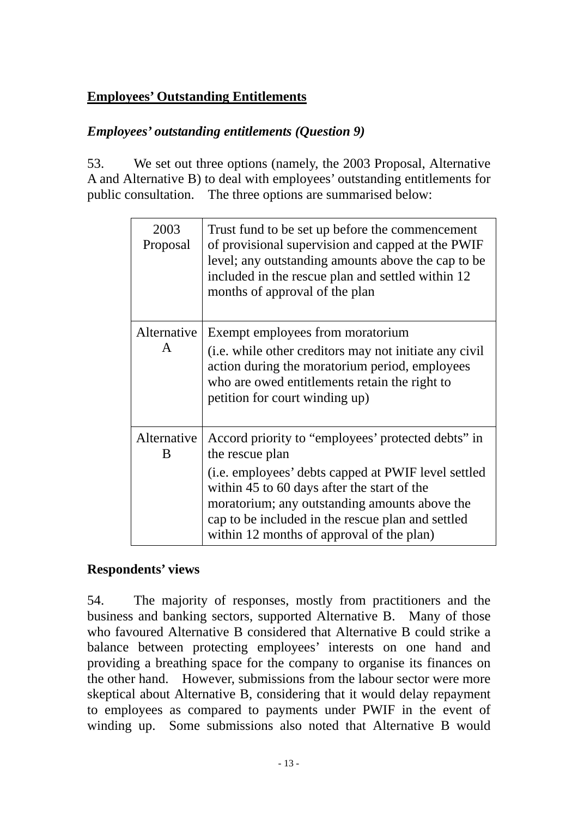# **Employees' Outstanding Entitlements**

# *Employees' outstanding entitlements (Question 9)*

53. We set out three options (namely, the 2003 Proposal, Alternative A and Alternative B) to deal with employees' outstanding entitlements for public consultation. The three options are summarised below:

| 2003<br>Proposal            | Trust fund to be set up before the commencement<br>of provisional supervision and capped at the PWIF<br>level; any outstanding amounts above the cap to be<br>included in the rescue plan and settled within 12<br>months of approval of the plan                                                                              |
|-----------------------------|--------------------------------------------------------------------------------------------------------------------------------------------------------------------------------------------------------------------------------------------------------------------------------------------------------------------------------|
| Alternative<br>$\mathsf{A}$ | Exempt employees from moratorium<br>(i.e. while other creditors may not initiate any civil<br>action during the moratorium period, employees<br>who are owed entitlements retain the right to<br>petition for court winding up)                                                                                                |
| Alternative<br>B            | Accord priority to "employees' protected debts" in<br>the rescue plan<br>(i.e. employees' debts capped at PWIF level settled<br>within 45 to 60 days after the start of the<br>moratorium; any outstanding amounts above the<br>cap to be included in the rescue plan and settled<br>within 12 months of approval of the plan) |

# **Respondents' views**

54. The majority of responses, mostly from practitioners and the business and banking sectors, supported Alternative B. Many of those who favoured Alternative B considered that Alternative B could strike a balance between protecting employees' interests on one hand and providing a breathing space for the company to organise its finances on the other hand. However, submissions from the labour sector were more skeptical about Alternative B, considering that it would delay repayment to employees as compared to payments under PWIF in the event of winding up. Some submissions also noted that Alternative B would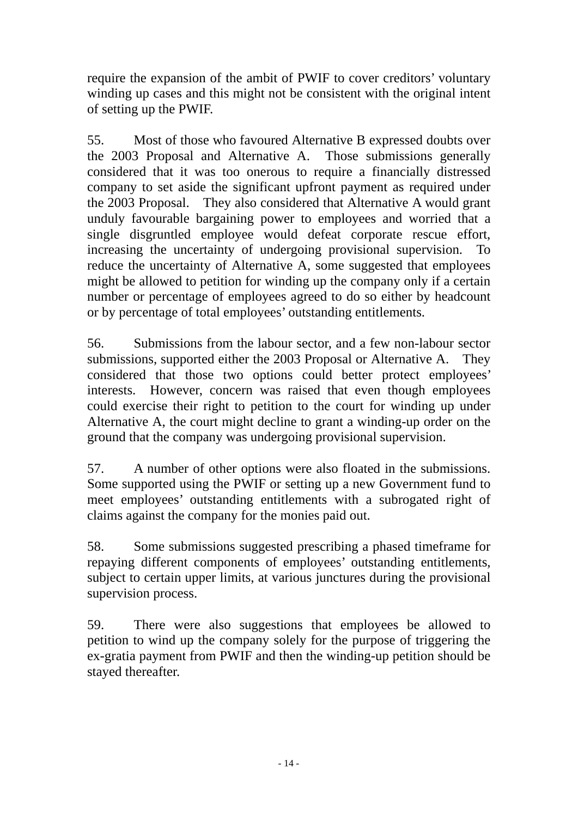require the expansion of the ambit of PWIF to cover creditors' voluntary winding up cases and this might not be consistent with the original intent of setting up the PWIF.

55. Most of those who favoured Alternative B expressed doubts over the 2003 Proposal and Alternative A. Those submissions generally considered that it was too onerous to require a financially distressed company to set aside the significant upfront payment as required under the 2003 Proposal. They also considered that Alternative A would grant unduly favourable bargaining power to employees and worried that a single disgruntled employee would defeat corporate rescue effort, increasing the uncertainty of undergoing provisional supervision. To reduce the uncertainty of Alternative A, some suggested that employees might be allowed to petition for winding up the company only if a certain number or percentage of employees agreed to do so either by headcount or by percentage of total employees' outstanding entitlements.

56. Submissions from the labour sector, and a few non-labour sector submissions, supported either the 2003 Proposal or Alternative A. They considered that those two options could better protect employees' interests. However, concern was raised that even though employees could exercise their right to petition to the court for winding up under Alternative A, the court might decline to grant a winding-up order on the ground that the company was undergoing provisional supervision.

57. A number of other options were also floated in the submissions. Some supported using the PWIF or setting up a new Government fund to meet employees' outstanding entitlements with a subrogated right of claims against the company for the monies paid out.

58. Some submissions suggested prescribing a phased timeframe for repaying different components of employees' outstanding entitlements, subject to certain upper limits, at various junctures during the provisional supervision process.

59. There were also suggestions that employees be allowed to petition to wind up the company solely for the purpose of triggering the ex-gratia payment from PWIF and then the winding-up petition should be stayed thereafter.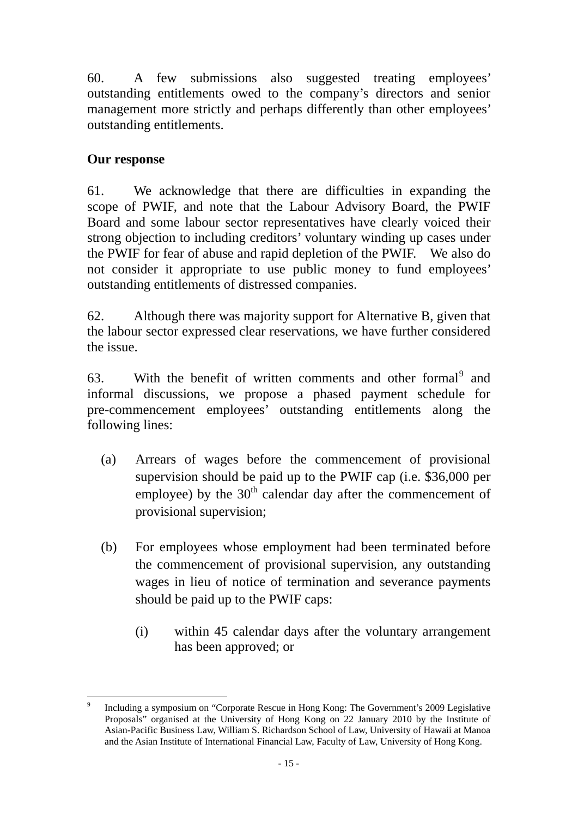<span id="page-18-0"></span>60. A few submissions also suggested treating employees' outstanding entitlements owed to the company's directors and senior management more strictly and perhaps differently than other employees' outstanding entitlements.

# **Our response**

61. We acknowledge that there are difficulties in expanding the scope of PWIF, and note that the Labour Advisory Board, the PWIF Board and some labour sector representatives have clearly voiced their strong objection to including creditors' voluntary winding up cases under the PWIF for fear of abuse and rapid depletion of the PWIF. We also do not consider it appropriate to use public money to fund employees' outstanding entitlements of distressed companies.

62. Although there was majority support for Alternative B, given that the labour sector expressed clear reservations, we have further considered the issue.

63. With the benefit of written comments and other formal<sup>[9](#page-18-0)</sup> and informal discussions, we propose a phased payment schedule for pre-commencement employees' outstanding entitlements along the following lines:

- (a) Arrears of wages before the commencement of provisional supervision should be paid up to the PWIF cap (i.e. \$36,000 per employee) by the  $30<sup>th</sup>$  calendar day after the commencement of provisional supervision;
- (b) For employees whose employment had been terminated before the commencement of provisional supervision, any outstanding wages in lieu of notice of termination and severance payments should be paid up to the PWIF caps:
	- (i) within 45 calendar days after the voluntary arrangement has been approved; or

 $\overline{a}$ 9 Including a symposium on "Corporate Rescue in Hong Kong: The Government's 2009 Legislative Proposals" organised at the University of Hong Kong on 22 January 2010 by the Institute of Asian-Pacific Business Law, William S. Richardson School of Law, University of Hawaii at Manoa and the Asian Institute of International Financial Law, Faculty of Law, University of Hong Kong.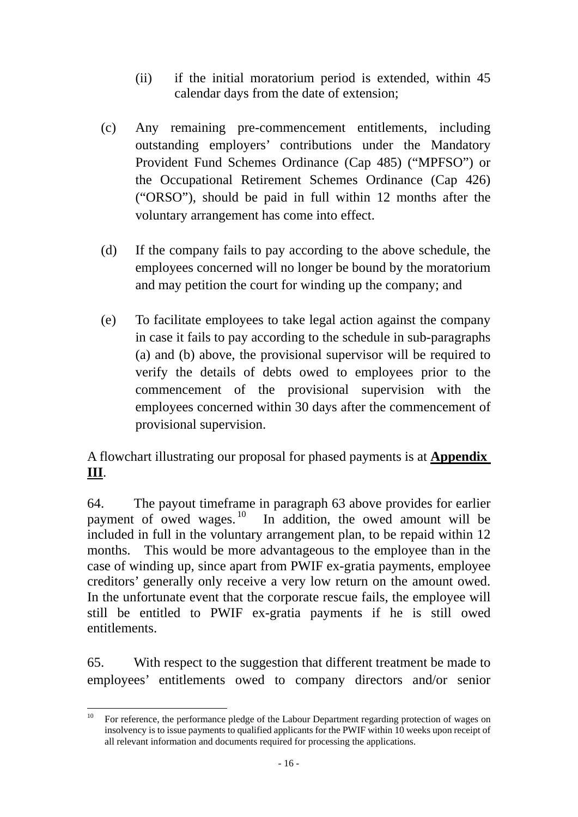- <span id="page-19-0"></span>(ii) if the initial moratorium period is extended, within 45 calendar days from the date of extension;
- (c) Any remaining pre-commencement entitlements, including outstanding employers' contributions under the Mandatory Provident Fund Schemes Ordinance (Cap 485) ("MPFSO") or the Occupational Retirement Schemes Ordinance (Cap 426) ("ORSO"), should be paid in full within 12 months after the voluntary arrangement has come into effect.
- (d) If the company fails to pay according to the above schedule, the employees concerned will no longer be bound by the moratorium and may petition the court for winding up the company; and
- (e) To facilitate employees to take legal action against the company in case it fails to pay according to the schedule in sub-paragraphs (a) and (b) above, the provisional supervisor will be required to verify the details of debts owed to employees prior to the commencement of the provisional supervision with the employees concerned within 30 days after the commencement of provisional supervision.

A flowchart illustrating our proposal for phased payments is at **Appendix III**.

64. The payout timeframe in paragraph 63 above provides for earlier payment of owed wages.<sup>10</sup> In addition, the owed amount will be In addition, the owed amount will be included in full in the voluntary arrangement plan, to be repaid within 12 months. This would be more advantageous to the employee than in the case of winding up, since apart from PWIF ex-gratia payments, employee creditors' generally only receive a very low return on the amount owed. In the unfortunate event that the corporate rescue fails, the employee will still be entitled to PWIF ex-gratia payments if he is still owed entitlements.

65. With respect to the suggestion that different treatment be made to employees' entitlements owed to company directors and/or senior

 $10\,$ 10 For reference, the performance pledge of the Labour Department regarding protection of wages on insolvency is to issue payments to qualified applicants for the PWIF within 10 weeks upon receipt of all relevant information and documents required for processing the applications.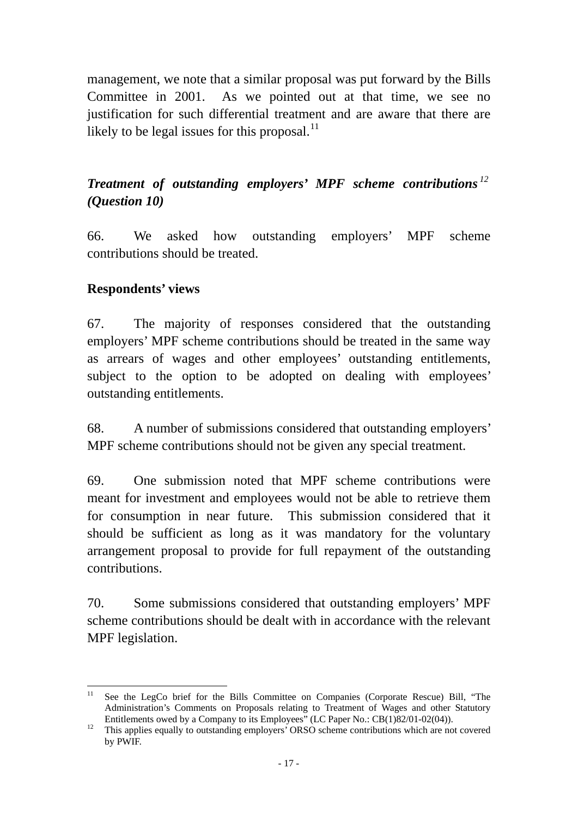<span id="page-20-0"></span>management, we note that a similar proposal was put forward by the Bills Committee in 2001. As we pointed out at that time, we see no justification for such differential treatment and are aware that there are likely to be legal issues for this proposal.<sup>11</sup>

# *Treatment of outstanding employers' MPF scheme contributions [12](#page-20-0) (Question 10)*

66. We asked how outstanding employers' MPF scheme contributions should be treated.

### **Respondents' views**

67. The majority of responses considered that the outstanding employers' MPF scheme contributions should be treated in the same way as arrears of wages and other employees' outstanding entitlements, subject to the option to be adopted on dealing with employees' outstanding entitlements.

68. A number of submissions considered that outstanding employers' MPF scheme contributions should not be given any special treatment.

69. One submission noted that MPF scheme contributions were meant for investment and employees would not be able to retrieve them for consumption in near future. This submission considered that it should be sufficient as long as it was mandatory for the voluntary arrangement proposal to provide for full repayment of the outstanding contributions.

70. Some submissions considered that outstanding employers' MPF scheme contributions should be dealt with in accordance with the relevant MPF legislation.

 $11^{\circ}$ See the LegCo brief for the Bills Committee on Companies (Corporate Rescue) Bill, "The Administration's Comments on Proposals relating to Treatment of Wages and other Statutory Entitlements owed by a Company to its Employees" (LC Paper No.: CB(1)82/01-02(04)).<br><sup>12</sup> This applies equally to outstanding employers' ORSO scheme contributions which are not covered

by PWIF.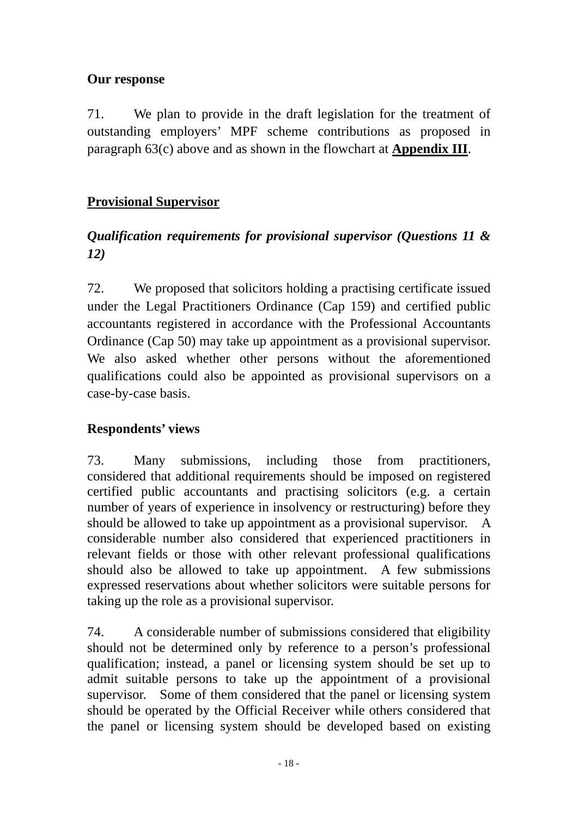# **Our response**

71. We plan to provide in the draft legislation for the treatment of outstanding employers' MPF scheme contributions as proposed in paragraph 63(c) above and as shown in the flowchart at **Appendix III**.

# **Provisional Supervisor**

# *Qualification requirements for provisional supervisor (Questions 11 & 12)*

72. We proposed that solicitors holding a practising certificate issued under the Legal Practitioners Ordinance (Cap 159) and certified public accountants registered in accordance with the Professional Accountants Ordinance (Cap 50) may take up appointment as a provisional supervisor. We also asked whether other persons without the aforementioned qualifications could also be appointed as provisional supervisors on a case-by-case basis.

# **Respondents' views**

73. Many submissions, including those from practitioners, considered that additional requirements should be imposed on registered certified public accountants and practising solicitors (e.g. a certain number of years of experience in insolvency or restructuring) before they should be allowed to take up appointment as a provisional supervisor. A considerable number also considered that experienced practitioners in relevant fields or those with other relevant professional qualifications should also be allowed to take up appointment. A few submissions expressed reservations about whether solicitors were suitable persons for taking up the role as a provisional supervisor.

74. A considerable number of submissions considered that eligibility should not be determined only by reference to a person's professional qualification; instead, a panel or licensing system should be set up to admit suitable persons to take up the appointment of a provisional supervisor. Some of them considered that the panel or licensing system should be operated by the Official Receiver while others considered that the panel or licensing system should be developed based on existing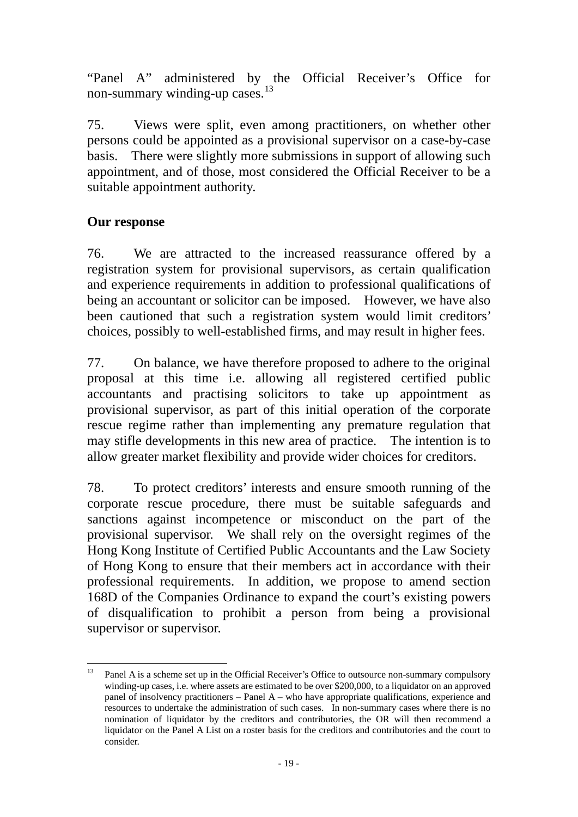"Panel A" administered by the Official Receiver's Office for non-summary winding-up cases.<sup>13</sup>

75. Views were split, even among practitioners, on whether other persons could be appointed as a provisional supervisor on a case-by-case basis. There were slightly more submissions in support of allowing such appointment, and of those, most considered the Official Receiver to be a suitable appointment authority.

### **Our response**

76. We are attracted to the increased reassurance offered by a registration system for provisional supervisors, as certain qualification and experience requirements in addition to professional qualifications of being an accountant or solicitor can be imposed. However, we have also been cautioned that such a registration system would limit creditors' choices, possibly to well-established firms, and may result in higher fees.

77. On balance, we have therefore proposed to adhere to the original proposal at this time i.e. allowing all registered certified public accountants and practising solicitors to take up appointment as provisional supervisor, as part of this initial operation of the corporate rescue regime rather than implementing any premature regulation that may stifle developments in this new area of practice. The intention is to allow greater market flexibility and provide wider choices for creditors.

78. To protect creditors' interests and ensure smooth running of the corporate rescue procedure, there must be suitable safeguards and sanctions against incompetence or misconduct on the part of the provisional supervisor. We shall rely on the oversight regimes of the Hong Kong Institute of Certified Public Accountants and the Law Society of Hong Kong to ensure that their members act in accordance with their professional requirements. In addition, we propose to amend section 168D of the Companies Ordinance to expand the court's existing powers of disqualification to prohibit a person from being a provisional supervisor or supervisor.

<sup>13</sup> Panel A is a scheme set up in the Official Receiver's Office to outsource non-summary compulsory winding-up cases, i.e. where assets are estimated to be over \$200,000, to a liquidator on an approved panel of insolvency practitioners – Panel A – who have appropriate qualifications, experience and resources to undertake the administration of such cases. In non-summary cases where there is no nomination of liquidator by the creditors and contributories, the OR will then recommend a liquidator on the Panel A List on a roster basis for the creditors and contributories and the court to consider.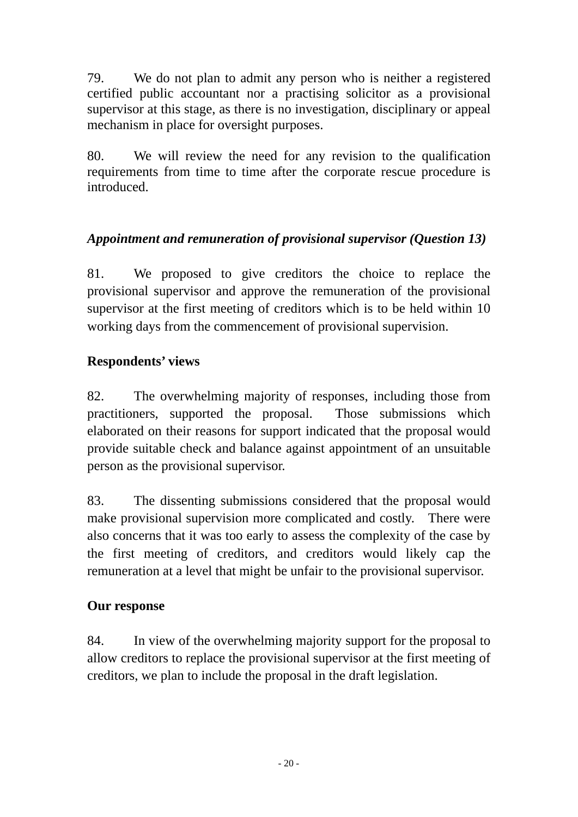79. We do not plan to admit any person who is neither a registered certified public accountant nor a practising solicitor as a provisional supervisor at this stage, as there is no investigation, disciplinary or appeal mechanism in place for oversight purposes.

80. We will review the need for any revision to the qualification requirements from time to time after the corporate rescue procedure is introduced.

# *Appointment and remuneration of provisional supervisor (Question 13)*

81. We proposed to give creditors the choice to replace the provisional supervisor and approve the remuneration of the provisional supervisor at the first meeting of creditors which is to be held within 10 working days from the commencement of provisional supervision.

# **Respondents' views**

82. The overwhelming majority of responses, including those from practitioners, supported the proposal. Those submissions which elaborated on their reasons for support indicated that the proposal would provide suitable check and balance against appointment of an unsuitable person as the provisional supervisor.

83. The dissenting submissions considered that the proposal would make provisional supervision more complicated and costly. There were also concerns that it was too early to assess the complexity of the case by the first meeting of creditors, and creditors would likely cap the remuneration at a level that might be unfair to the provisional supervisor.

# **Our response**

84. In view of the overwhelming majority support for the proposal to allow creditors to replace the provisional supervisor at the first meeting of creditors, we plan to include the proposal in the draft legislation.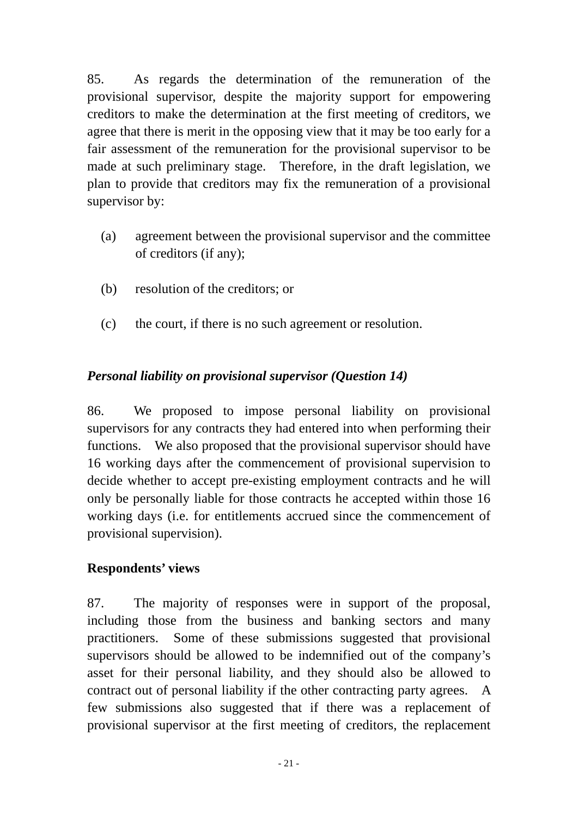85. As regards the determination of the remuneration of the provisional supervisor, despite the majority support for empowering creditors to make the determination at the first meeting of creditors, we agree that there is merit in the opposing view that it may be too early for a fair assessment of the remuneration for the provisional supervisor to be made at such preliminary stage. Therefore, in the draft legislation, we plan to provide that creditors may fix the remuneration of a provisional supervisor by:

- (a) agreement between the provisional supervisor and the committee of creditors (if any);
- (b) resolution of the creditors; or
- (c) the court, if there is no such agreement or resolution.

# *Personal liability on provisional supervisor (Question 14)*

86. We proposed to impose personal liability on provisional supervisors for any contracts they had entered into when performing their functions. We also proposed that the provisional supervisor should have 16 working days after the commencement of provisional supervision to decide whether to accept pre-existing employment contracts and he will only be personally liable for those contracts he accepted within those 16 working days (i.e. for entitlements accrued since the commencement of provisional supervision).

# **Respondents' views**

87. The majority of responses were in support of the proposal, including those from the business and banking sectors and many practitioners. Some of these submissions suggested that provisional supervisors should be allowed to be indemnified out of the company's asset for their personal liability, and they should also be allowed to contract out of personal liability if the other contracting party agrees. A few submissions also suggested that if there was a replacement of provisional supervisor at the first meeting of creditors, the replacement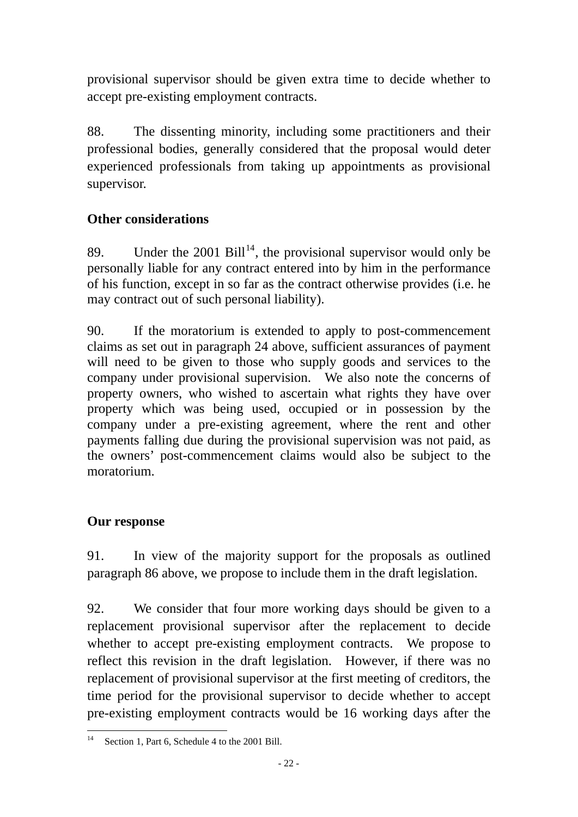<span id="page-25-0"></span>provisional supervisor should be given extra time to decide whether to accept pre-existing employment contracts.

88. The dissenting minority, including some practitioners and their professional bodies, generally considered that the proposal would deter experienced professionals from taking up appointments as provisional supervisor.

# **Other considerations**

89. Under the 2001 Bill<sup>[14](#page-25-0)</sup>, the provisional supervisor would only be personally liable for any contract entered into by him in the performance of his function, except in so far as the contract otherwise provides (i.e. he may contract out of such personal liability).

90. If the moratorium is extended to apply to post-commencement claims as set out in paragraph 24 above, sufficient assurances of payment will need to be given to those who supply goods and services to the company under provisional supervision. We also note the concerns of property owners, who wished to ascertain what rights they have over property which was being used, occupied or in possession by the company under a pre-existing agreement, where the rent and other payments falling due during the provisional supervision was not paid, as the owners' post-commencement claims would also be subject to the moratorium.

# **Our response**

91. In view of the majority support for the proposals as outlined paragraph 86 above, we propose to include them in the draft legislation.

92. We consider that four more working days should be given to a replacement provisional supervisor after the replacement to decide whether to accept pre-existing employment contracts. We propose to reflect this revision in the draft legislation. However, if there was no replacement of provisional supervisor at the first meeting of creditors, the time period for the provisional supervisor to decide whether to accept pre-existing employment contracts would be 16 working days after the

 $\overline{a}$ Section 1, Part 6, Schedule 4 to the 2001 Bill.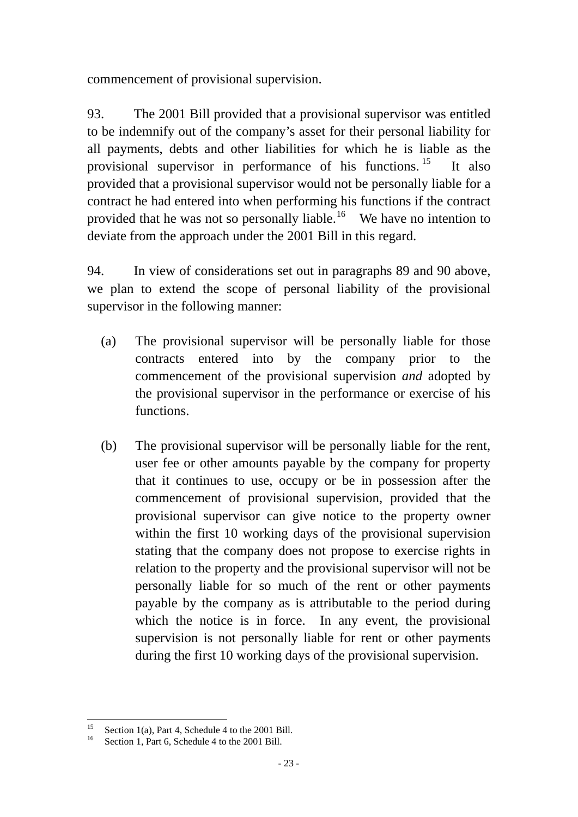<span id="page-26-0"></span>commencement of provisional supervision.

93. The 2001 Bill provided that a provisional supervisor was entitled to be indemnify out of the company's asset for their personal liability for all payments, debts and other liabilities for which he is liable as the provisional supervisor in performance of his functions.<sup>[15](#page-26-0)</sup> It also provided that a provisional supervisor would not be personally liable for a contract he had entered into when performing his functions if the contract provided that he was not so personally liable.<sup>[16](#page-26-0)</sup> We have no intention to deviate from the approach under the 2001 Bill in this regard.

94. In view of considerations set out in paragraphs 89 and 90 above, we plan to extend the scope of personal liability of the provisional supervisor in the following manner:

- (a) The provisional supervisor will be personally liable for those contracts entered into by the company prior to the commencement of the provisional supervision *and* adopted by the provisional supervisor in the performance or exercise of his functions.
- (b) The provisional supervisor will be personally liable for the rent, user fee or other amounts payable by the company for property that it continues to use, occupy or be in possession after the commencement of provisional supervision, provided that the provisional supervisor can give notice to the property owner within the first 10 working days of the provisional supervision stating that the company does not propose to exercise rights in relation to the property and the provisional supervisor will not be personally liable for so much of the rent or other payments payable by the company as is attributable to the period during which the notice is in force. In any event, the provisional supervision is not personally liable for rent or other payments during the first 10 working days of the provisional supervision.

 $15$ <sup>15</sup> Section 1(a), Part 4, Schedule 4 to the 2001 Bill.<br><sup>16</sup> Section 1, Part 6, Schedule 4 to the 2001 Bill.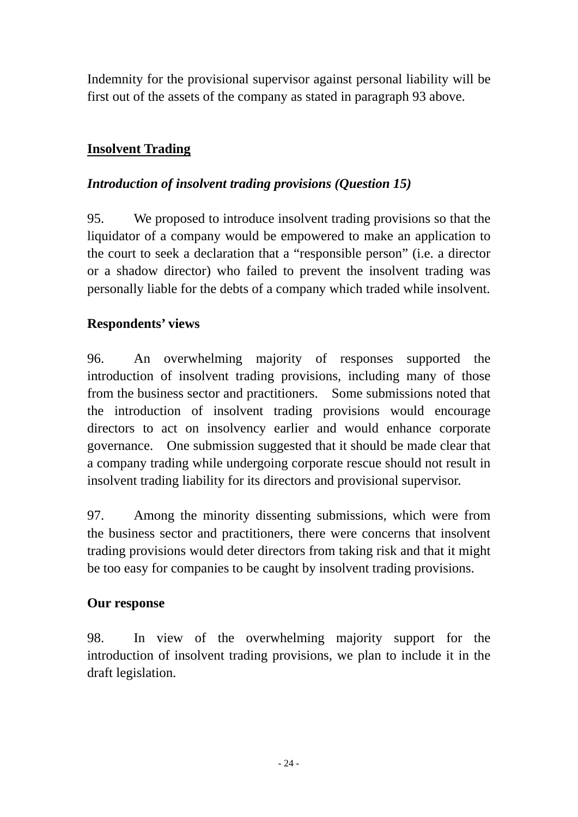Indemnity for the provisional supervisor against personal liability will be first out of the assets of the company as stated in paragraph 93 above.

# **Insolvent Trading**

### *Introduction of insolvent trading provisions (Question 15)*

95. We proposed to introduce insolvent trading provisions so that the liquidator of a company would be empowered to make an application to the court to seek a declaration that a "responsible person" (i.e. a director or a shadow director) who failed to prevent the insolvent trading was personally liable for the debts of a company which traded while insolvent.

# **Respondents' views**

96. An overwhelming majority of responses supported the introduction of insolvent trading provisions, including many of those from the business sector and practitioners. Some submissions noted that the introduction of insolvent trading provisions would encourage directors to act on insolvency earlier and would enhance corporate governance. One submission suggested that it should be made clear that a company trading while undergoing corporate rescue should not result in insolvent trading liability for its directors and provisional supervisor.

97. Among the minority dissenting submissions, which were from the business sector and practitioners, there were concerns that insolvent trading provisions would deter directors from taking risk and that it might be too easy for companies to be caught by insolvent trading provisions.

#### **Our response**

98. In view of the overwhelming majority support for the introduction of insolvent trading provisions, we plan to include it in the draft legislation.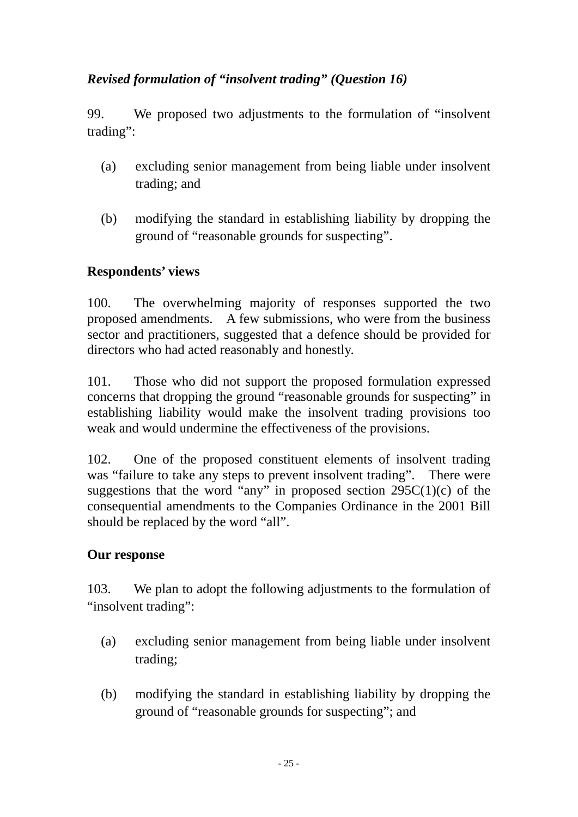# *Revised formulation of "insolvent trading" (Question 16)*

99. We proposed two adjustments to the formulation of "insolvent trading":

- (a) excluding senior management from being liable under insolvent trading; and
- (b) modifying the standard in establishing liability by dropping the ground of "reasonable grounds for suspecting".

# **Respondents' views**

100. The overwhelming majority of responses supported the two proposed amendments. A few submissions, who were from the business sector and practitioners, suggested that a defence should be provided for directors who had acted reasonably and honestly.

101. Those who did not support the proposed formulation expressed concerns that dropping the ground "reasonable grounds for suspecting" in establishing liability would make the insolvent trading provisions too weak and would undermine the effectiveness of the provisions.

102. One of the proposed constituent elements of insolvent trading was "failure to take any steps to prevent insolvent trading". There were suggestions that the word "any" in proposed section  $295C(1)(c)$  of the consequential amendments to the Companies Ordinance in the 2001 Bill should be replaced by the word "all".

# **Our response**

103. We plan to adopt the following adjustments to the formulation of "insolvent trading":

- (a) excluding senior management from being liable under insolvent trading;
- (b) modifying the standard in establishing liability by dropping the ground of "reasonable grounds for suspecting"; and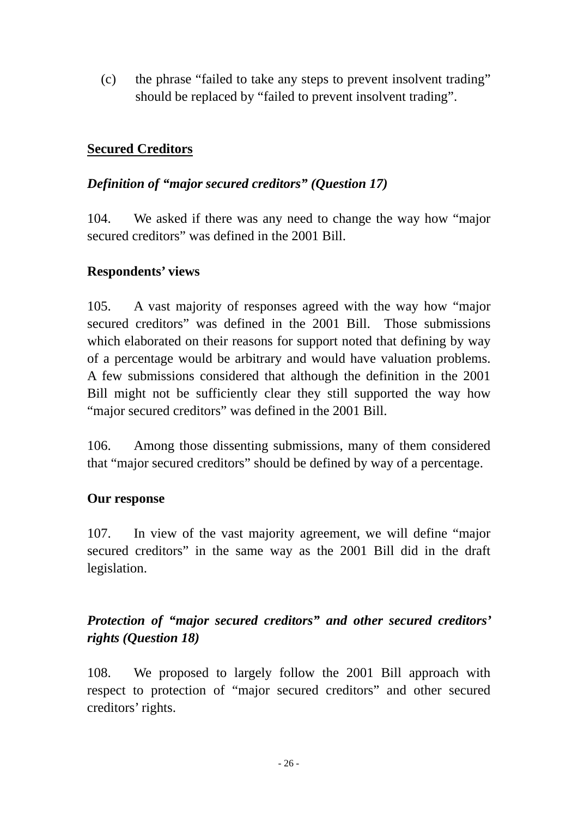(c) the phrase "failed to take any steps to prevent insolvent trading" should be replaced by "failed to prevent insolvent trading".

# **Secured Creditors**

### *Definition of "major secured creditors" (Question 17)*

104. We asked if there was any need to change the way how "major secured creditors" was defined in the 2001 Bill.

### **Respondents' views**

105. A vast majority of responses agreed with the way how "major secured creditors" was defined in the 2001 Bill. Those submissions which elaborated on their reasons for support noted that defining by way of a percentage would be arbitrary and would have valuation problems. A few submissions considered that although the definition in the 2001 Bill might not be sufficiently clear they still supported the way how "major secured creditors" was defined in the 2001 Bill.

106. Among those dissenting submissions, many of them considered that "major secured creditors" should be defined by way of a percentage.

#### **Our response**

107. In view of the vast majority agreement, we will define "major secured creditors" in the same way as the 2001 Bill did in the draft legislation.

# *Protection of "major secured creditors" and other secured creditors' rights (Question 18)*

108. We proposed to largely follow the 2001 Bill approach with respect to protection of "major secured creditors" and other secured creditors' rights.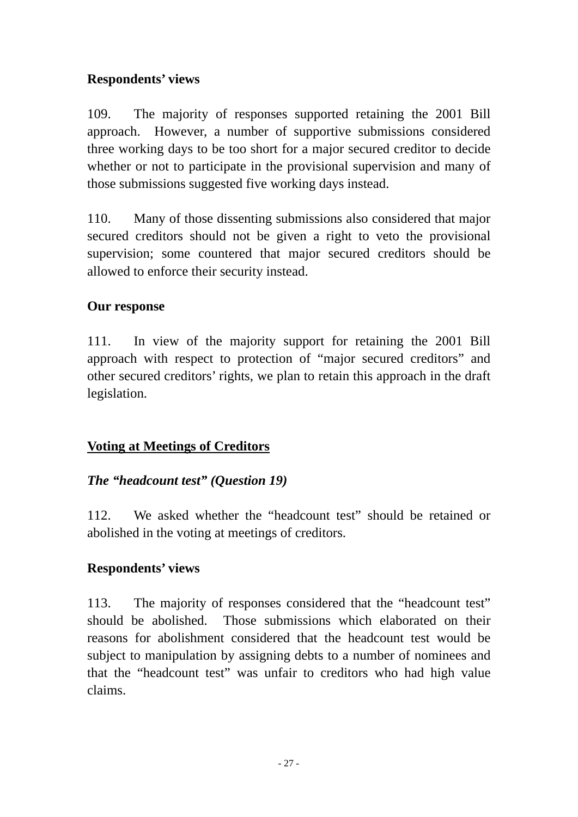# **Respondents' views**

109. The majority of responses supported retaining the 2001 Bill approach. However, a number of supportive submissions considered three working days to be too short for a major secured creditor to decide whether or not to participate in the provisional supervision and many of those submissions suggested five working days instead.

110. Many of those dissenting submissions also considered that major secured creditors should not be given a right to veto the provisional supervision; some countered that major secured creditors should be allowed to enforce their security instead.

# **Our response**

111. In view of the majority support for retaining the 2001 Bill approach with respect to protection of "major secured creditors" and other secured creditors' rights, we plan to retain this approach in the draft legislation.

# **Voting at Meetings of Creditors**

# *The "headcount test" (Question 19)*

112. We asked whether the "headcount test" should be retained or abolished in the voting at meetings of creditors.

# **Respondents' views**

113. The majority of responses considered that the "headcount test" should be abolished. Those submissions which elaborated on their reasons for abolishment considered that the headcount test would be subject to manipulation by assigning debts to a number of nominees and that the "headcount test" was unfair to creditors who had high value claims.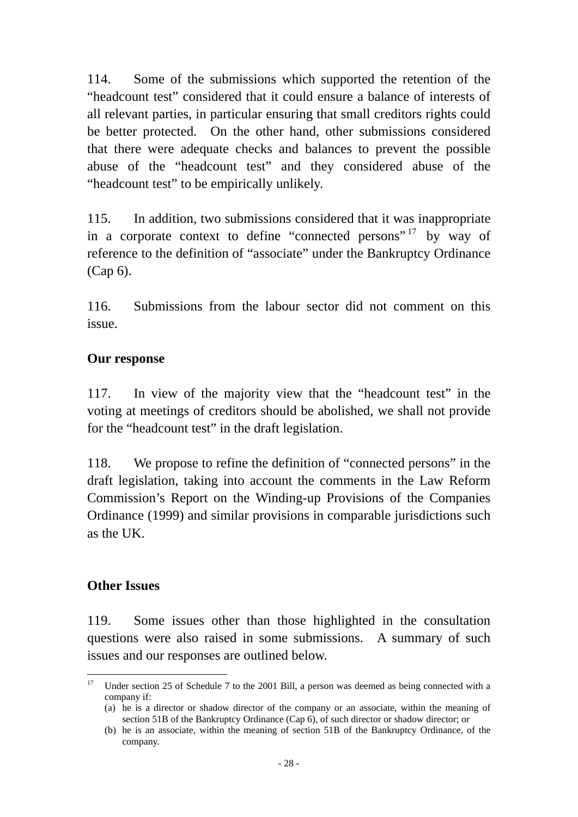<span id="page-31-0"></span>114. Some of the submissions which supported the retention of the "headcount test" considered that it could ensure a balance of interests of all relevant parties, in particular ensuring that small creditors rights could be better protected. On the other hand, other submissions considered that there were adequate checks and balances to prevent the possible abuse of the "headcount test" and they considered abuse of the "headcount test" to be empirically unlikely.

115. In addition, two submissions considered that it was inappropriate in a corporate context to define "connected persons" by way of reference to the definition of "associate" under the Bankruptcy Ordinance (Cap 6).

116. Submissions from the labour sector did not comment on this issue.

#### **Our response**

117. In view of the majority view that the "headcount test" in the voting at meetings of creditors should be abolished, we shall not provide for the "headcount test" in the draft legislation.

118. We propose to refine the definition of "connected persons" in the draft legislation, taking into account the comments in the Law Reform Commission's Report on the Winding-up Provisions of the Companies Ordinance (1999) and similar provisions in comparable jurisdictions such as the UK.

#### **Other Issues**

119. Some issues other than those highlighted in the consultation questions were also raised in some submissions. A summary of such issues and our responses are outlined below.

 $17$ Under section 25 of Schedule 7 to the 2001 Bill, a person was deemed as being connected with a company if:

<sup>(</sup>a) he is a director or shadow director of the company or an associate, within the meaning of section 51B of the Bankruptcy Ordinance (Cap 6), of such director or shadow director; or

<sup>(</sup>b) he is an associate, within the meaning of section 51B of the Bankruptcy Ordinance, of the company.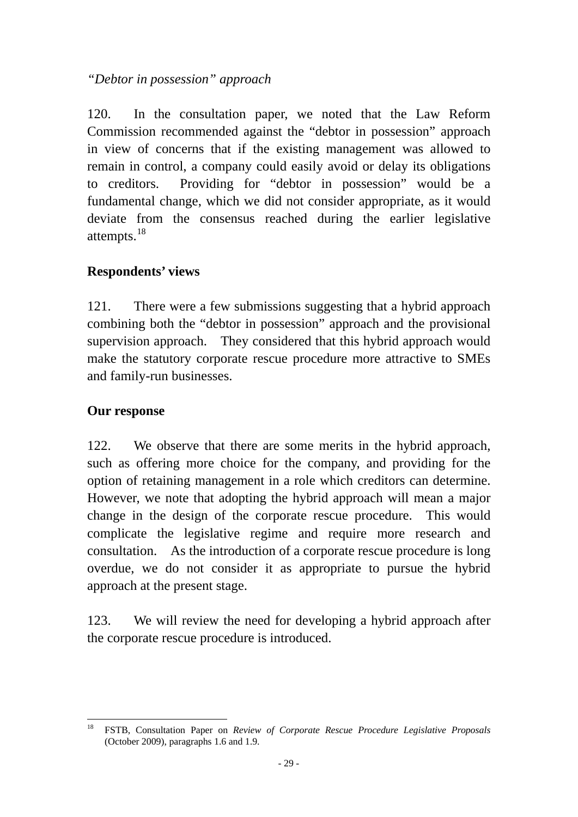# <span id="page-32-0"></span>*"Debtor in possession" approach*

120. In the consultation paper, we noted that the Law Reform Commission recommended against the "debtor in possession" approach in view of concerns that if the existing management was allowed to remain in control, a company could easily avoid or delay its obligations to creditors. Providing for "debtor in possession" would be a fundamental change, which we did not consider appropriate, as it would deviate from the consensus reached during the earlier legislative attempts.<sup>[18](#page-32-0)</sup>

# **Respondents' views**

121. There were a few submissions suggesting that a hybrid approach combining both the "debtor in possession" approach and the provisional supervision approach. They considered that this hybrid approach would make the statutory corporate rescue procedure more attractive to SMEs and family-run businesses.

# **Our response**

122. We observe that there are some merits in the hybrid approach, such as offering more choice for the company, and providing for the option of retaining management in a role which creditors can determine. However, we note that adopting the hybrid approach will mean a major change in the design of the corporate rescue procedure. This would complicate the legislative regime and require more research and consultation. As the introduction of a corporate rescue procedure is long overdue, we do not consider it as appropriate to pursue the hybrid approach at the present stage.

123. We will review the need for developing a hybrid approach after the corporate rescue procedure is introduced.

<sup>18</sup> 18 FSTB, Consultation Paper on *Review of Corporate Rescue Procedure Legislative Proposals* (October 2009), paragraphs 1.6 and 1.9.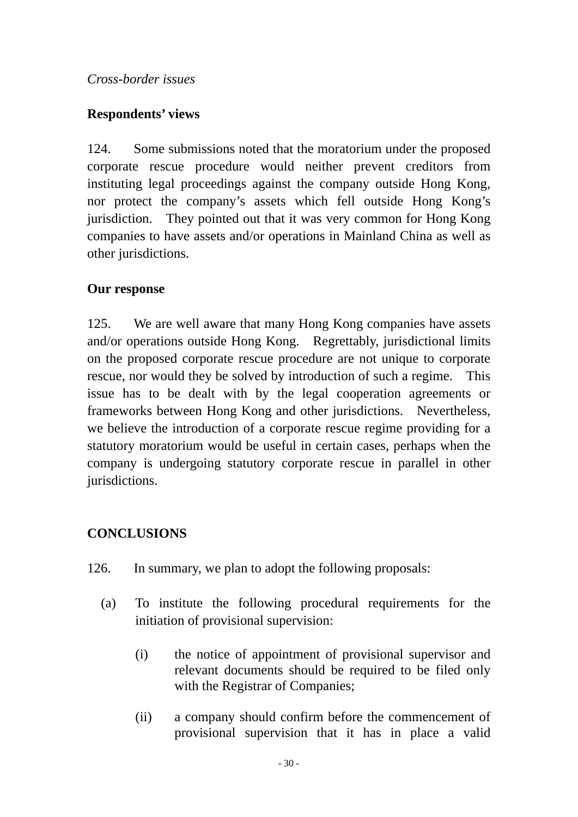# **Respondents' views**

124. Some submissions noted that the moratorium under the proposed corporate rescue procedure would neither prevent creditors from instituting legal proceedings against the company outside Hong Kong, nor protect the company's assets which fell outside Hong Kong's jurisdiction. They pointed out that it was very common for Hong Kong companies to have assets and/or operations in Mainland China as well as other jurisdictions.

# **Our response**

125. We are well aware that many Hong Kong companies have assets and/or operations outside Hong Kong. Regrettably, jurisdictional limits on the proposed corporate rescue procedure are not unique to corporate rescue, nor would they be solved by introduction of such a regime. This issue has to be dealt with by the legal cooperation agreements or frameworks between Hong Kong and other jurisdictions. Nevertheless, we believe the introduction of a corporate rescue regime providing for a statutory moratorium would be useful in certain cases, perhaps when the company is undergoing statutory corporate rescue in parallel in other jurisdictions.

# **CONCLUSIONS**

- 126. In summary, we plan to adopt the following proposals:
	- (a) To institute the following procedural requirements for the initiation of provisional supervision:
		- (i) the notice of appointment of provisional supervisor and relevant documents should be required to be filed only with the Registrar of Companies;
		- (ii) a company should confirm before the commencement of provisional supervision that it has in place a valid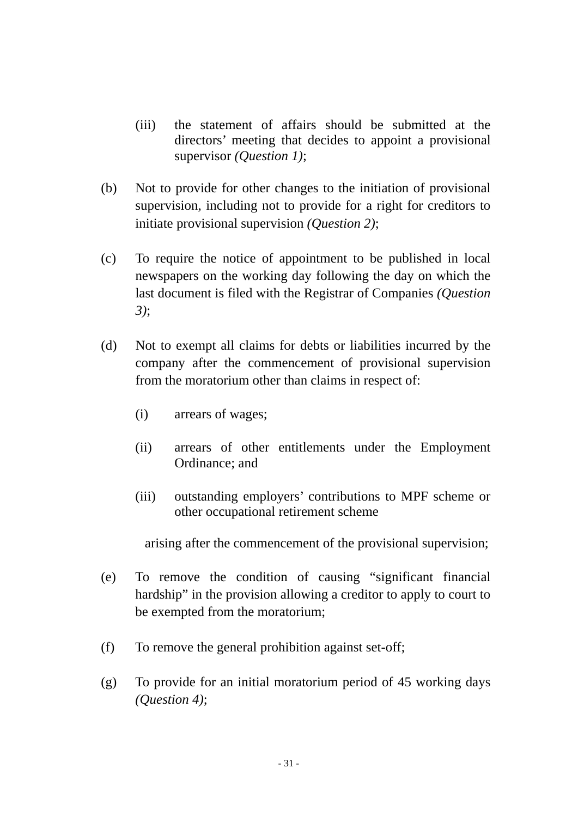- (iii) the statement of affairs should be submitted at the directors' meeting that decides to appoint a provisional supervisor *(Question 1)*;
- (b) Not to provide for other changes to the initiation of provisional supervision, including not to provide for a right for creditors to initiate provisional supervision *(Question 2)*;
- (c) To require the notice of appointment to be published in local newspapers on the working day following the day on which the last document is filed with the Registrar of Companies *(Question 3)*;
- (d) Not to exempt all claims for debts or liabilities incurred by the company after the commencement of provisional supervision from the moratorium other than claims in respect of:
	- (i) arrears of wages;
	- (ii) arrears of other entitlements under the Employment Ordinance; and
	- (iii) outstanding employers' contributions to MPF scheme or other occupational retirement scheme

arising after the commencement of the provisional supervision;

- (e) To remove the condition of causing "significant financial hardship" in the provision allowing a creditor to apply to court to be exempted from the moratorium;
- (f) To remove the general prohibition against set-off;
- (g) To provide for an initial moratorium period of 45 working days *(Question 4)*;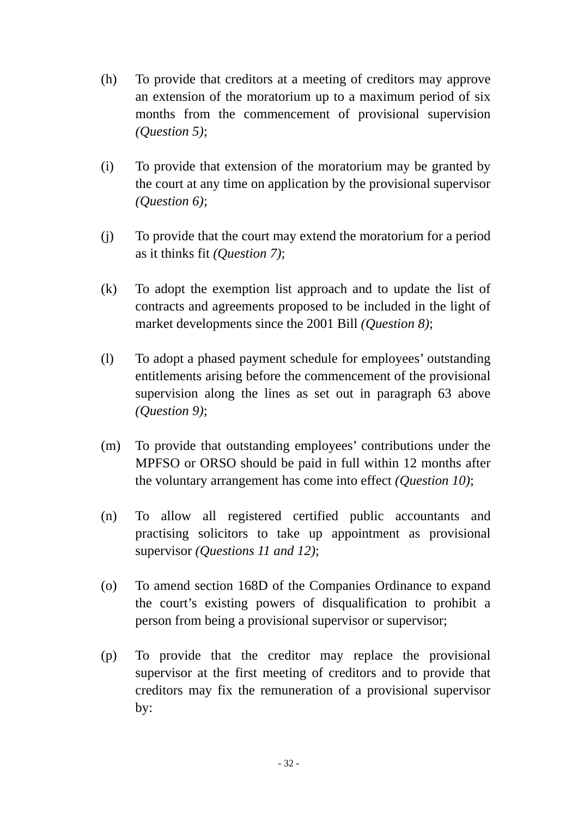- (h) To provide that creditors at a meeting of creditors may approve an extension of the moratorium up to a maximum period of six months from the commencement of provisional supervision *(Question 5)*;
- (i) To provide that extension of the moratorium may be granted by the court at any time on application by the provisional supervisor *(Question 6)*;
- (j) To provide that the court may extend the moratorium for a period as it thinks fit *(Question 7)*;
- (k) To adopt the exemption list approach and to update the list of contracts and agreements proposed to be included in the light of market developments since the 2001 Bill *(Question 8)*;
- (l) To adopt a phased payment schedule for employees' outstanding entitlements arising before the commencement of the provisional supervision along the lines as set out in paragraph 63 above *(Question 9)*;
- (m) To provide that outstanding employees' contributions under the MPFSO or ORSO should be paid in full within 12 months after the voluntary arrangement has come into effect *(Question 10)*;
- (n) To allow all registered certified public accountants and practising solicitors to take up appointment as provisional supervisor *(Questions 11 and 12)*;
- (o) To amend section 168D of the Companies Ordinance to expand the court's existing powers of disqualification to prohibit a person from being a provisional supervisor or supervisor;
- (p) To provide that the creditor may replace the provisional supervisor at the first meeting of creditors and to provide that creditors may fix the remuneration of a provisional supervisor by: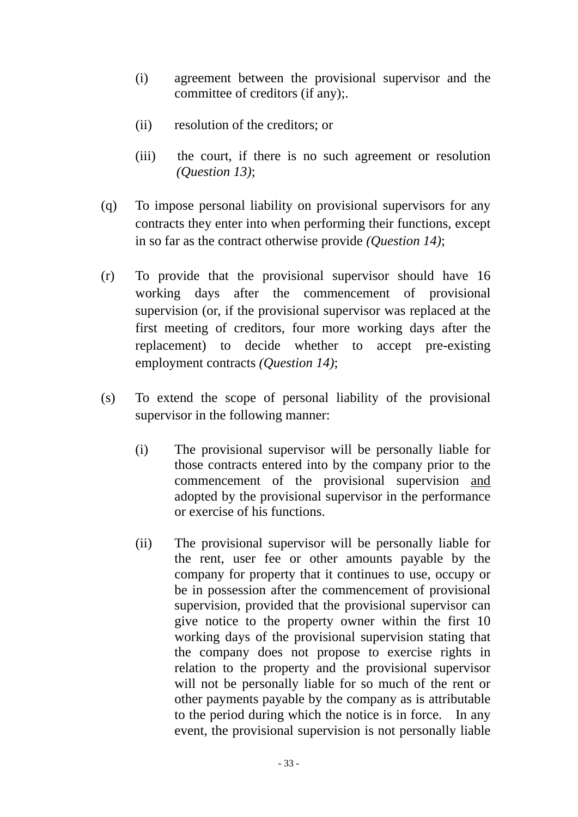- (i) agreement between the provisional supervisor and the committee of creditors (if any);.
- (ii) resolution of the creditors; or
- (iii) the court, if there is no such agreement or resolution *(Question 13)*;
- (q) To impose personal liability on provisional supervisors for any contracts they enter into when performing their functions, except in so far as the contract otherwise provide *(Question 14)*;
- (r) To provide that the provisional supervisor should have 16 working days after the commencement of provisional supervision (or, if the provisional supervisor was replaced at the first meeting of creditors, four more working days after the replacement) to decide whether to accept pre-existing employment contracts *(Question 14)*;
- (s) To extend the scope of personal liability of the provisional supervisor in the following manner:
	- (i) The provisional supervisor will be personally liable for those contracts entered into by the company prior to the commencement of the provisional supervision and adopted by the provisional supervisor in the performance or exercise of his functions.
	- (ii) The provisional supervisor will be personally liable for the rent, user fee or other amounts payable by the company for property that it continues to use, occupy or be in possession after the commencement of provisional supervision, provided that the provisional supervisor can give notice to the property owner within the first 10 working days of the provisional supervision stating that the company does not propose to exercise rights in relation to the property and the provisional supervisor will not be personally liable for so much of the rent or other payments payable by the company as is attributable to the period during which the notice is in force. In any event, the provisional supervision is not personally liable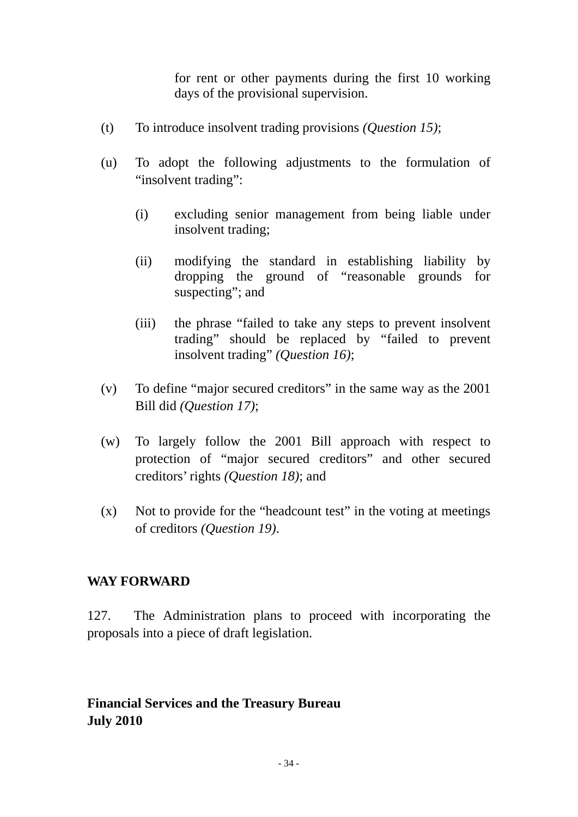for rent or other payments during the first 10 working days of the provisional supervision.

- (t) To introduce insolvent trading provisions *(Question 15)*;
- (u) To adopt the following adjustments to the formulation of "insolvent trading":
	- (i) excluding senior management from being liable under insolvent trading;
	- (ii) modifying the standard in establishing liability by dropping the ground of "reasonable grounds for suspecting"; and
	- (iii) the phrase "failed to take any steps to prevent insolvent trading" should be replaced by "failed to prevent insolvent trading" *(Question 16)*;
- (v) To define "major secured creditors" in the same way as the 2001 Bill did *(Question 17)*;
- (w) To largely follow the 2001 Bill approach with respect to protection of "major secured creditors" and other secured creditors' rights *(Question 18)*; and
- (x) Not to provide for the "headcount test" in the voting at meetings of creditors *(Question 19)*.

#### **WAY FORWARD**

127. The Administration plans to proceed with incorporating the proposals into a piece of draft legislation.

# **Financial Services and the Treasury Bureau July 2010**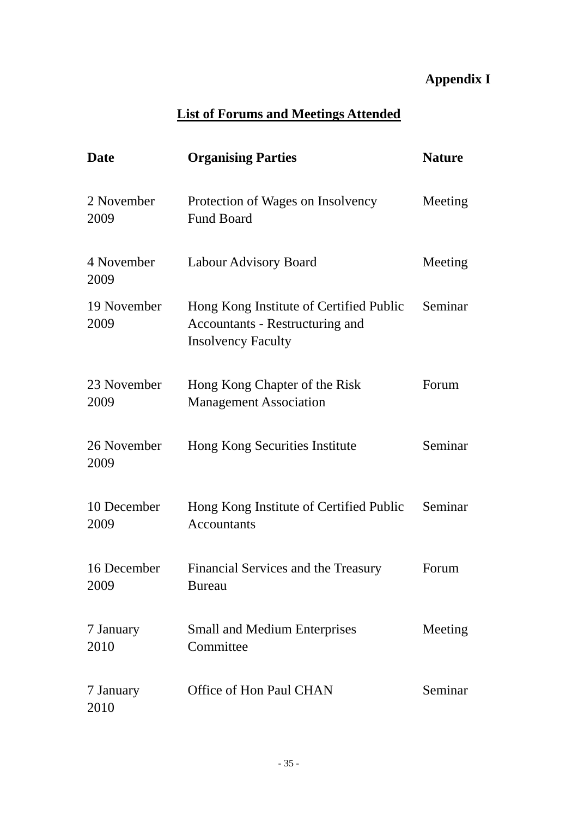# **Appendix I**

# **List of Forums and Meetings Attended**

| <b>Date</b>         | <b>Organising Parties</b>                                                                               | <b>Nature</b> |
|---------------------|---------------------------------------------------------------------------------------------------------|---------------|
| 2 November<br>2009  | Protection of Wages on Insolvency<br><b>Fund Board</b>                                                  | Meeting       |
| 4 November<br>2009  | <b>Labour Advisory Board</b>                                                                            | Meeting       |
| 19 November<br>2009 | Hong Kong Institute of Certified Public<br>Accountants - Restructuring and<br><b>Insolvency Faculty</b> | Seminar       |
| 23 November<br>2009 | Hong Kong Chapter of the Risk<br><b>Management Association</b>                                          | Forum         |
| 26 November<br>2009 | Hong Kong Securities Institute                                                                          | Seminar       |
| 10 December<br>2009 | Hong Kong Institute of Certified Public<br><b>Accountants</b>                                           | Seminar       |
| 16 December<br>2009 | Financial Services and the Treasury<br><b>Bureau</b>                                                    | Forum         |
| 7 January<br>2010   | <b>Small and Medium Enterprises</b><br>Committee                                                        | Meeting       |
| 7 January<br>2010   | Office of Hon Paul CHAN                                                                                 | Seminar       |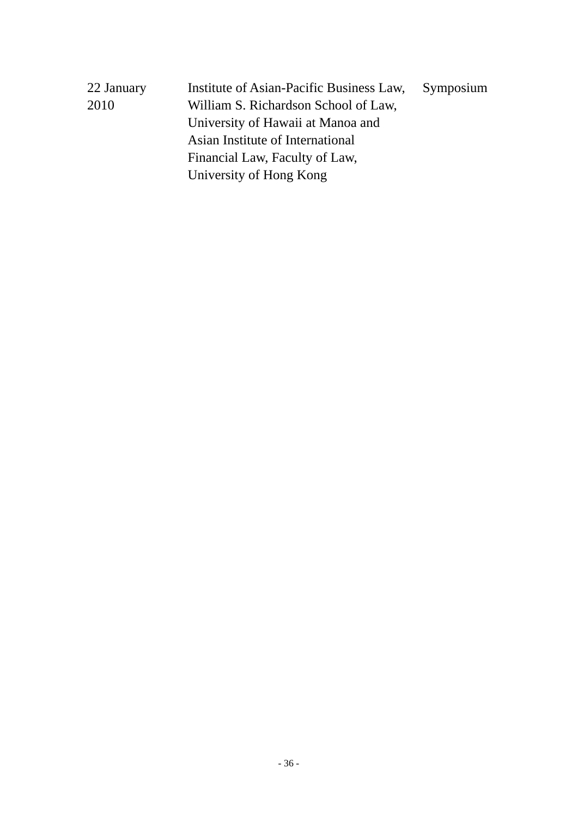| 22 January | Institute of Asian-Pacific Business Law, | Symposium |
|------------|------------------------------------------|-----------|
| 2010       | William S. Richardson School of Law,     |           |
|            | University of Hawaii at Manoa and        |           |
|            | Asian Institute of International         |           |
|            | Financial Law, Faculty of Law,           |           |
|            | University of Hong Kong                  |           |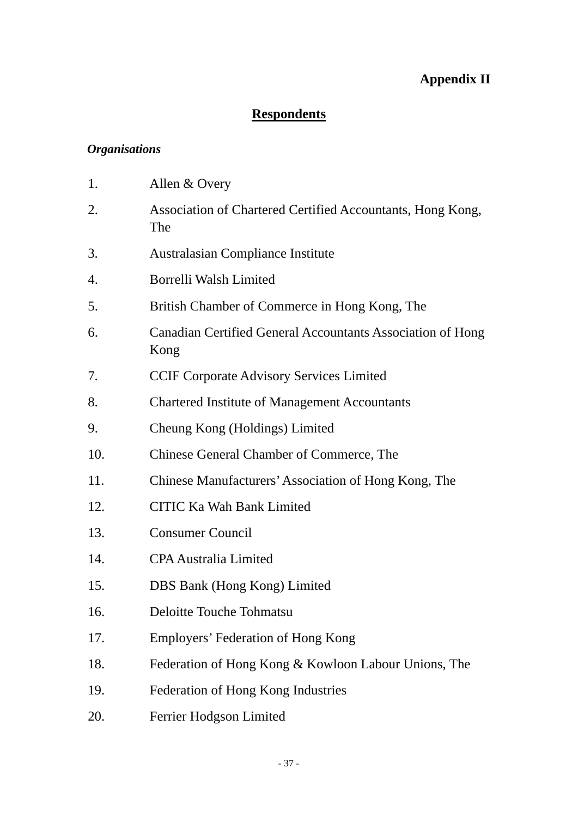# **Appendix II**

# **Respondents**

# *Organisations*

| 1.  | Allen & Overy                                                      |
|-----|--------------------------------------------------------------------|
| 2.  | Association of Chartered Certified Accountants, Hong Kong,<br>The  |
| 3.  | <b>Australasian Compliance Institute</b>                           |
| 4.  | Borrelli Walsh Limited                                             |
| 5.  | British Chamber of Commerce in Hong Kong, The                      |
| 6.  | Canadian Certified General Accountants Association of Hong<br>Kong |
| 7.  | <b>CCIF Corporate Advisory Services Limited</b>                    |
| 8.  | <b>Chartered Institute of Management Accountants</b>               |
| 9.  | Cheung Kong (Holdings) Limited                                     |
| 10. | Chinese General Chamber of Commerce, The                           |
| 11. | Chinese Manufacturers' Association of Hong Kong, The               |
| 12. | <b>CITIC Ka Wah Bank Limited</b>                                   |
| 13. | <b>Consumer Council</b>                                            |
| 14. | <b>CPA Australia Limited</b>                                       |
| 15. | DBS Bank (Hong Kong) Limited                                       |
| 16. | Deloitte Touche Tohmatsu                                           |
| 17. | Employers' Federation of Hong Kong                                 |
| 18. | Federation of Hong Kong & Kowloon Labour Unions, The               |
| 19. | Federation of Hong Kong Industries                                 |
| 20. | Ferrier Hodgson Limited                                            |
|     |                                                                    |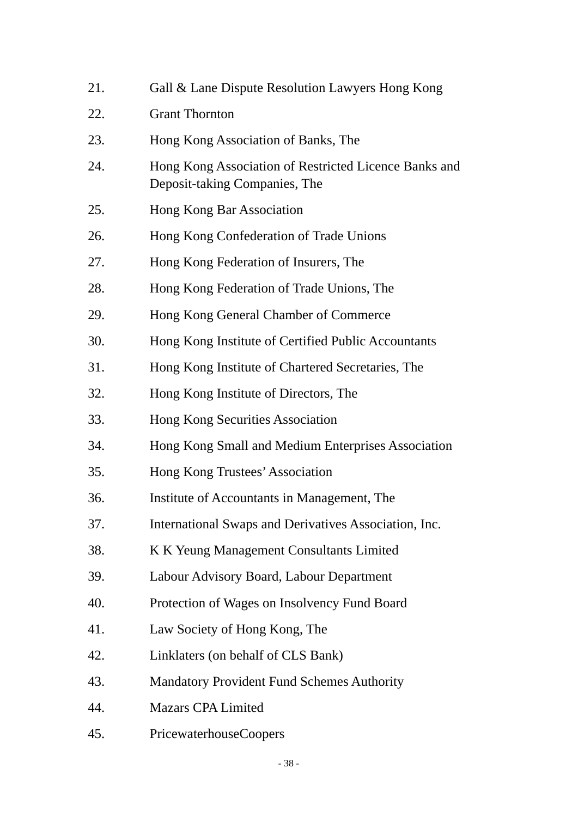| 21. | Gall & Lane Dispute Resolution Lawyers Hong Kong                                       |
|-----|----------------------------------------------------------------------------------------|
| 22. | <b>Grant Thornton</b>                                                                  |
| 23. | Hong Kong Association of Banks, The                                                    |
| 24. | Hong Kong Association of Restricted Licence Banks and<br>Deposit-taking Companies, The |
| 25. | Hong Kong Bar Association                                                              |
| 26. | Hong Kong Confederation of Trade Unions                                                |
| 27. | Hong Kong Federation of Insurers, The                                                  |
| 28. | Hong Kong Federation of Trade Unions, The                                              |
| 29. | Hong Kong General Chamber of Commerce                                                  |
| 30. | Hong Kong Institute of Certified Public Accountants                                    |
| 31. | Hong Kong Institute of Chartered Secretaries, The                                      |
| 32. | Hong Kong Institute of Directors, The                                                  |
| 33. | Hong Kong Securities Association                                                       |
| 34. | Hong Kong Small and Medium Enterprises Association                                     |
| 35. | Hong Kong Trustees' Association                                                        |
| 36. | Institute of Accountants in Management, The                                            |
| 37. | International Swaps and Derivatives Association, Inc.                                  |
| 38. | K K Yeung Management Consultants Limited                                               |
| 39. | Labour Advisory Board, Labour Department                                               |
| 40. | Protection of Wages on Insolvency Fund Board                                           |
| 41. | Law Society of Hong Kong, The                                                          |
| 42. | Linklaters (on behalf of CLS Bank)                                                     |
| 43. | <b>Mandatory Provident Fund Schemes Authority</b>                                      |
| 44. | <b>Mazars CPA Limited</b>                                                              |
| 45. | <b>PricewaterhouseCoopers</b>                                                          |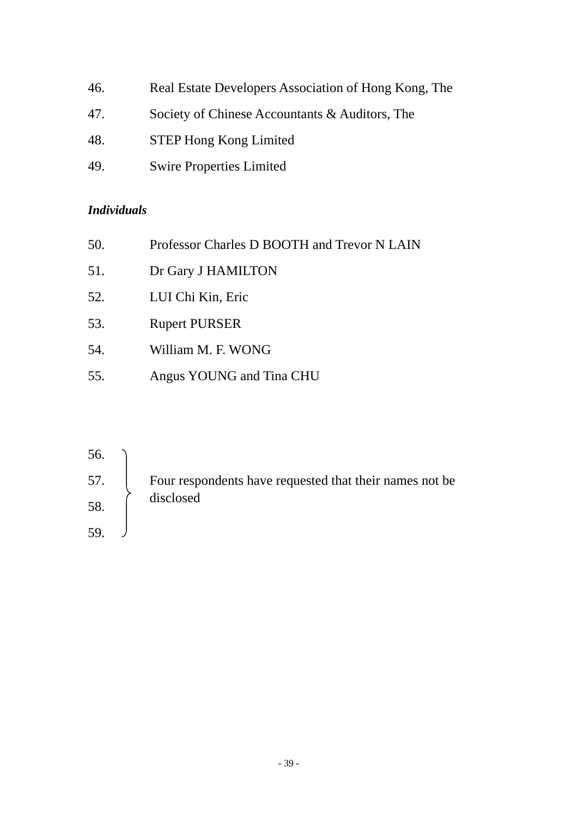46. Real Estate Developers Association of Hong Kong, The 47. Society of Chinese Accountants & Auditors, The 48. STEP Hong Kong Limited 49. Swire Properties Limited

#### *Individuals*

| 50. | Professor Charles D BOOTH and Trevor N LAIN |
|-----|---------------------------------------------|
| 51. | Dr Gary J HAMILTON                          |
| 52. | LUI Chi Kin, Eric                           |
| 53. | <b>Rupert PURSER</b>                        |
| 54. | William M. F. WONG                          |
| 55. | Angus YOUNG and Tina CHU                    |

| 56. |                                                          |
|-----|----------------------------------------------------------|
| 57. | Four respondents have requested that their names not be. |
| 58. | disclosed                                                |
| 59  |                                                          |